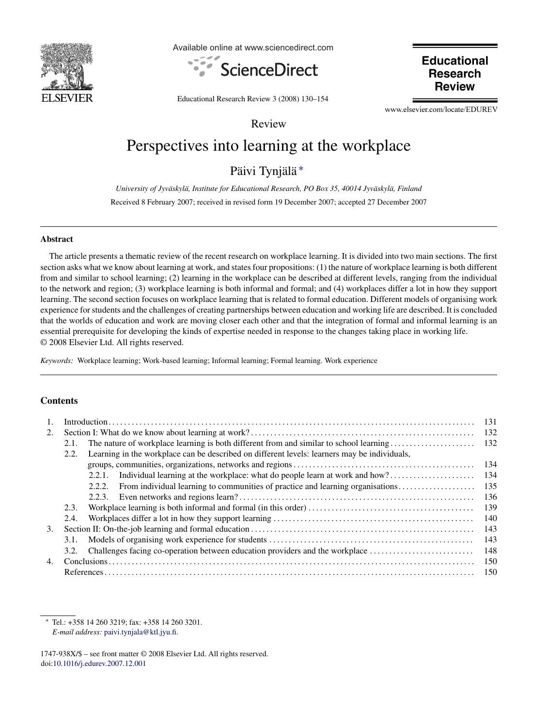

Available online at www.sciencedirect.com



**Educational Research Review** 

Educational Research Review 3 (2008) 130–154

www.elsevier.com/locate/EDUREV

Review

# Perspectives into learning at the workplace

Päivi Tynjälä\*

University of Jyväskylä, Institute for Educational Research, PO Box 35, 40014 Jyväskylä, Finland Received 8 February 2007; received in revised form 19 December 2007; accepted 27 December 2007

#### **Abstract**

The article presents a thematic review of the recent research on workplace learning. It is divided into two main sections. The first section asks what we know about learning at work, and states four propositions: (1) the nature of workplace learning is both different from and similar to school learning; (2) learning in the workplace can be described at different levels, ranging from the individual to the network and region; (3) workplace learning is both informal and formal; and (4) workplaces differ a lot in how they support learning. The second section focuses on workplace learning that is related to formal education. Different models of organising work experience for students and the challenges of creating partnerships between education and working life are described. It is concluded that the worlds of education and work are moving closer each other and that the integration of formal and informal learning is an essential prerequisite for developing the kinds of expertise needed in response to the changes taking place in working life. © 2008 Elsevier Ltd. All rights reserved.

*Keywords:* Workplace learning; Work-based learning; Informal learning; Formal learning. Work experience

# **Contents**

| $\mathbf{1}$ . | 131                                                                                                   |                                                                                              |     |  |  |  |
|----------------|-------------------------------------------------------------------------------------------------------|----------------------------------------------------------------------------------------------|-----|--|--|--|
| 2.             |                                                                                                       |                                                                                              |     |  |  |  |
|                | The nature of workplace learning is both different from and similar to school learning<br>132<br>2.1. |                                                                                              |     |  |  |  |
|                | 2.2.                                                                                                  | Learning in the workplace can be described on different levels: learners may be individuals, |     |  |  |  |
|                |                                                                                                       |                                                                                              | 134 |  |  |  |
|                |                                                                                                       | Individual learning at the workplace: what do people learn at work and how?<br>2.2.1.        | 134 |  |  |  |
|                |                                                                                                       | From individual learning to communities of practice and learning organisations<br>2.2.2.     | 135 |  |  |  |
|                |                                                                                                       | 2.2.3.                                                                                       | 136 |  |  |  |
|                | 2.3.                                                                                                  |                                                                                              | 139 |  |  |  |
|                | 2.4.                                                                                                  |                                                                                              | 140 |  |  |  |
| 3.             |                                                                                                       |                                                                                              | 143 |  |  |  |
|                | 3.1.                                                                                                  |                                                                                              | 143 |  |  |  |
|                | 3.2.                                                                                                  | Challenges facing co-operation between education providers and the workplace                 | 148 |  |  |  |
| 4.             |                                                                                                       |                                                                                              |     |  |  |  |
|                |                                                                                                       | 150                                                                                          |     |  |  |  |

Tel.: +358 14 260 3219; fax: +358 14 260 3201. *E-mail address:* [paivi.tynjala@ktl.jyu.fi](mailto:paivi.tynjala@ktl.jyu.fi).

<sup>1747-938</sup>X/\$ – see front matter © 2008 Elsevier Ltd. All rights reserved. doi[:10.1016/j.edurev.2007.12.001](dx.doi.org/10.1016/j.edurev.2007.12.001)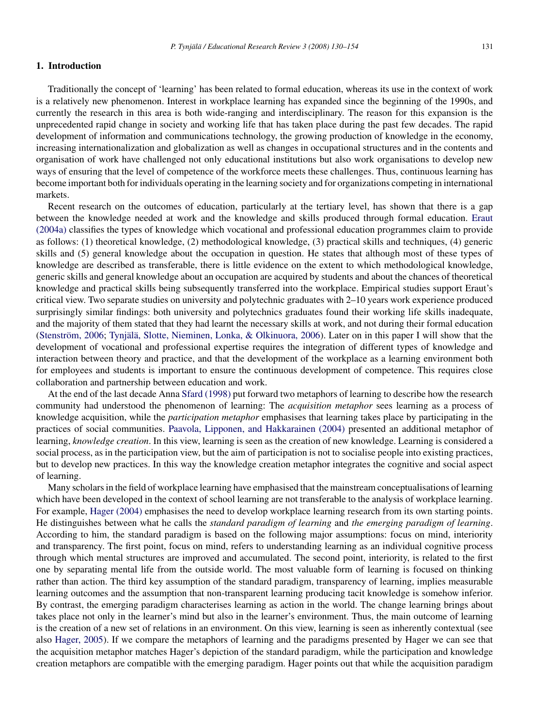# **1. Introduction**

Traditionally the concept of 'learning' has been related to formal education, whereas its use in the context of work is a relatively new phenomenon. Interest in workplace learning has expanded since the beginning of the 1990s, and currently the research in this area is both wide-ranging and interdisciplinary. The reason for this expansion is the unprecedented rapid change in society and working life that has taken place during the past few decades. The rapid development of information and communications technology, the growing production of knowledge in the economy, increasing internationalization and globalization as well as changes in occupational structures and in the contents and organisation of work have challenged not only educational institutions but also work organisations to develop new ways of ensuring that the level of competence of the workforce meets these challenges. Thus, continuous learning has become important both for individuals operating in the learning society and for organizations competing in international markets.

Recent research on the outcomes of education, particularly at the tertiary level, has shown that there is a gap between the knowledge needed at work and the knowledge and skills produced through formal education. [Eraut](#page-21-0) [\(2004a\)](#page-21-0) classifies the types of knowledge which vocational and professional education programmes claim to provide as follows: (1) theoretical knowledge, (2) methodological knowledge, (3) practical skills and techniques, (4) generic skills and (5) general knowledge about the occupation in question. He states that although most of these types of knowledge are described as transferable, there is little evidence on the extent to which methodological knowledge, generic skills and general knowledge about an occupation are acquired by students and about the chances of theoretical knowledge and practical skills being subsequently transferred into the workplace. Empirical studies support Eraut's critical view. Two separate studies on university and polytechnic graduates with 2–10 years work experience produced surprisingly similar findings: both university and polytechnics graduates found their working life skills inadequate, and the majority of them stated that they had learnt the necessary skills at work, and not during their formal education (Stenström, 2006; Tynjälä, [Slotte, Nieminen, Lonka, & Olkinuora, 2006](#page-23-0)). Later on in this paper I will show that the development of vocational and professional expertise requires the integration of different types of knowledge and interaction between theory and practice, and that the development of the workplace as a learning environment both for employees and students is important to ensure the continuous development of competence. This requires close collaboration and partnership between education and work.

At the end of the last decade Anna [Sfard \(1998\)](#page-23-0) put forward two metaphors of learning to describe how the research community had understood the phenomenon of learning: The *acquisition metaphor* sees learning as a process of knowledge acquisition, while the *participation metaphor* emphasises that learning takes place by participating in the practices of social communities. [Paavola, Lipponen, and Hakkarainen \(2004\)](#page-22-0) presented an additional metaphor of learning, *knowledge creation*. In this view, learning is seen as the creation of new knowledge. Learning is considered a social process, as in the participation view, but the aim of participation is not to socialise people into existing practices, but to develop new practices. In this way the knowledge creation metaphor integrates the cognitive and social aspect of learning.

Many scholars in the field of workplace learning have emphasised that the mainstream conceptualisations of learning which have been developed in the context of school learning are not transferable to the analysis of workplace learning. For example, [Hager \(2004\)](#page-21-0) emphasises the need to develop workplace learning research from its own starting points. He distinguishes between what he calls the *standard paradigm of learning* and *the emerging paradigm of learning*. According to him, the standard paradigm is based on the following major assumptions: focus on mind, interiority and transparency. The first point, focus on mind, refers to understanding learning as an individual cognitive process through which mental structures are improved and accumulated. The second point, interiority, is related to the first one by separating mental life from the outside world. The most valuable form of learning is focused on thinking rather than action. The third key assumption of the standard paradigm, transparency of learning, implies measurable learning outcomes and the assumption that non-transparent learning producing tacit knowledge is somehow inferior. By contrast, the emerging paradigm characterises learning as action in the world. The change learning brings about takes place not only in the learner's mind but also in the learner's environment. Thus, the main outcome of learning is the creation of a new set of relations in an environment. On this view, learning is seen as inherently contextual (see also [Hager, 2005\).](#page-21-0) If we compare the metaphors of learning and the paradigms presented by Hager we can see that the acquisition metaphor matches Hager's depiction of the standard paradigm, while the participation and knowledge creation metaphors are compatible with the emerging paradigm. Hager points out that while the acquisition paradigm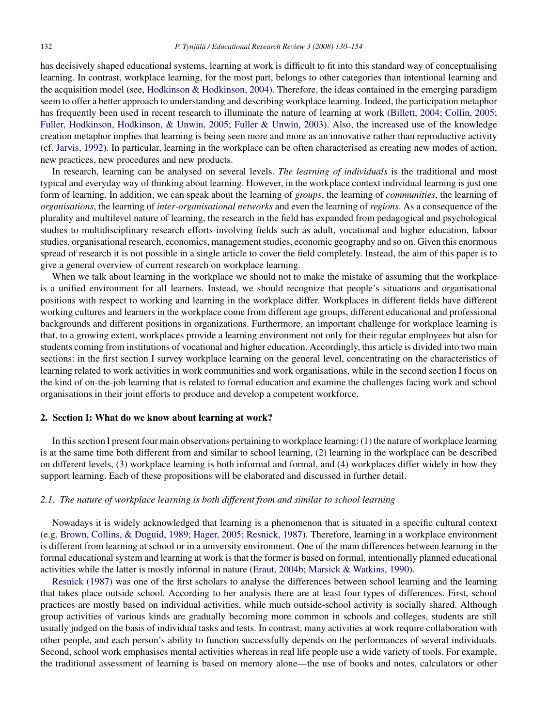has decisively shaped educational systems, learning at work is difficult to fit into this standard way of conceptualising learning. In contrast, workplace learning, for the most part, belongs to other categories than intentional learning and the acquisition model (see, [Hodkinson & Hodkinson, 2004\).](#page-22-0) Therefore, the ideas contained in the emerging paradigm seem to offer a better approach to understanding and describing workplace learning. Indeed, the participation metaphor has frequently been used in recent research to illuminate the nature of learning at work ([Billett, 2004;](#page-20-0) [Collin, 2005;](#page-21-0) [Fuller, Hodkinson, Hodkinson, & Unwin, 2005;](#page-21-0) [Fuller & Unwin, 2003\).](#page-21-0) Also, the increased use of the knowledge creation metaphor implies that learning is being seen more and more as an innovative rather than reproductive activity (cf. [Jarvis, 1992\).](#page-22-0) In particular, learning in the workplace can be often characterised as creating new modes of action, new practices, new procedures and new products.

In research, learning can be analysed on several levels. *The learning of individuals* is the traditional and most typical and everyday way of thinking about learning. However, in the workplace context individual learning is just one form of learning. In addition, we can speak about the learning of *groups*, the learning of *communities*, the learning of *organisations*, the learning of *inter-organisational networks* and even the learning of *regions*. As a consequence of the plurality and multilevel nature of learning, the research in the field has expanded from pedagogical and psychological studies to multidisciplinary research efforts involving fields such as adult, vocational and higher education, labour studies, organisational research, economics, management studies, economic geography and so on. Given this enormous spread of research it is not possible in a single article to cover the field completely. Instead, the aim of this paper is to give a general overview of current research on workplace learning.

When we talk about learning in the workplace we should not to make the mistake of assuming that the workplace is a unified environment for all learners. Instead, we should recognize that people's situations and organisational positions with respect to working and learning in the workplace differ. Workplaces in different fields have different working cultures and learners in the workplace come from different age groups, different educational and professional backgrounds and different positions in organizations. Furthermore, an important challenge for workplace learning is that, to a growing extent, workplaces provide a learning environment not only for their regular employees but also for students coming from institutions of vocational and higher education. Accordingly, this article is divided into two main sections: in the first section I survey workplace learning on the general level, concentrating on the characteristics of learning related to work activities in work communities and work organisations, while in the second section I focus on the kind of on-the-job learning that is related to formal education and examine the challenges facing work and school organisations in their joint efforts to produce and develop a competent workforce.

## **2. Section I: What do we know about learning at work?**

In this section I present four main observations pertaining to workplace learning: (1) the nature of workplace learning is at the same time both different from and similar to school learning, (2) learning in the workplace can be described on different levels, (3) workplace learning is both informal and formal, and (4) workplaces differ widely in how they support learning. Each of these propositions will be elaborated and discussed in further detail.

# *2.1. The nature of workplace learning is both different from and similar to school learning*

Nowadays it is widely acknowledged that learning is a phenomenon that is situated in a specific cultural context (e.g. [Brown, Collins, & Duguid, 1989;](#page-21-0) [Hager, 2005; Resnick, 1987\).](#page-21-0) Therefore, learning in a workplace environment is different from learning at school or in a university environment. One of the main differences between learning in the formal educational system and learning at work is that the former is based on formal, intentionally planned educational activities while the latter is mostly informal in nature [\(Eraut, 2004b;](#page-21-0) [Marsick & Watkins, 1990\).](#page-22-0)

[Resnick \(1987\)](#page-23-0) was one of the first scholars to analyse the differences between school learning and the learning that takes place outside school. According to her analysis there are at least four types of differences. First, school practices are mostly based on individual activities, while much outside-school activity is socially shared. Although group activities of various kinds are gradually becoming more common in schools and colleges, students are still usually judged on the basis of individual tasks and tests. In contrast, many activities at work require collaboration with other people, and each person's ability to function successfully depends on the performances of several individuals. Second, school work emphasises mental activities whereas in real life people use a wide variety of tools. For example, the traditional assessment of learning is based on memory alone—the use of books and notes, calculators or other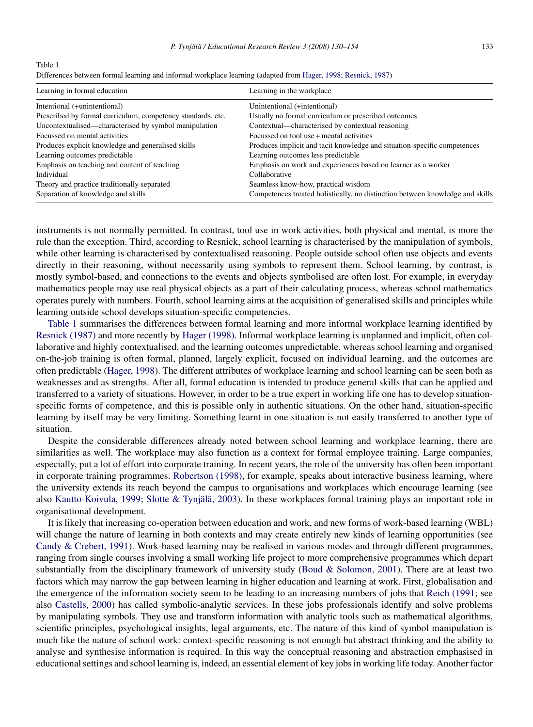Table 1

| Differences between formal learning and informal workplace learning (adapted from Hager, 1998; Resnick, 1987) |  |  |  |  |  |
|---------------------------------------------------------------------------------------------------------------|--|--|--|--|--|
|---------------------------------------------------------------------------------------------------------------|--|--|--|--|--|

| Learning in formal education                                | Learning in the workplace                                                     |
|-------------------------------------------------------------|-------------------------------------------------------------------------------|
| Intentional (+unintentional)                                | Unintentional (+intentional)                                                  |
| Prescribed by formal curriculum, competency standards, etc. | Usually no formal curriculum or prescribed outcomes                           |
| Uncontextualised—characterised by symbol manipulation       | Contextual—characterised by contextual reasoning                              |
| Focussed on mental activities                               | Focussed on tool use + mental activities                                      |
| Produces explicit knowledge and generalised skills          | Produces implicit and tacit knowledge and situation-specific competences      |
| Learning outcomes predictable                               | Learning outcomes less predictable                                            |
| Emphasis on teaching and content of teaching                | Emphasis on work and experiences based on learner as a worker                 |
| Individual                                                  | Collaborative                                                                 |
| Theory and practice traditionally separated                 | Seamless know-how, practical wisdom                                           |
| Separation of knowledge and skills                          | Competences treated holistically, no distinction between knowledge and skills |

instruments is not normally permitted. In contrast, tool use in work activities, both physical and mental, is more the rule than the exception. Third, according to Resnick, school learning is characterised by the manipulation of symbols, while other learning is characterised by contextualised reasoning. People outside school often use objects and events directly in their reasoning, without necessarily using symbols to represent them. School learning, by contrast, is mostly symbol-based, and connections to the events and objects symbolised are often lost. For example, in everyday mathematics people may use real physical objects as a part of their calculating process, whereas school mathematics operates purely with numbers. Fourth, school learning aims at the acquisition of generalised skills and principles while learning outside school develops situation-specific competencies.

Table 1 summarises the differences between formal learning and more informal workplace learning identified by [Resnick \(1987\)](#page-23-0) and more recently by [Hager \(1998\).](#page-21-0) Informal workplace learning is unplanned and implicit, often collaborative and highly contextualised, and the learning outcomes unpredictable, whereas school learning and organised on-the-job training is often formal, planned, largely explicit, focused on individual learning, and the outcomes are often predictable [\(Hager, 1998\).](#page-21-0) The different attributes of workplace learning and school learning can be seen both as weaknesses and as strengths. After all, formal education is intended to produce general skills that can be applied and transferred to a variety of situations. However, in order to be a true expert in working life one has to develop situationspecific forms of competence, and this is possible only in authentic situations. On the other hand, situation-specific learning by itself may be very limiting. Something learnt in one situation is not easily transferred to another type of situation.

Despite the considerable differences already noted between school learning and workplace learning, there are similarities as well. The workplace may also function as a context for formal employee training. Large companies, especially, put a lot of effort into corporate training. In recent years, the role of the university has often been important in corporate training programmes. [Robertson \(1998\),](#page-23-0) for example, speaks about interactive business learning, where the university extends its reach beyond the campus to organisations and workplaces which encourage learning (see also [Kautto-Koivula, 1999;](#page-22-0) Slotte & Tynjälä, [2003](#page-23-0)). In these workplaces formal training plays an important role in organisational development.

It is likely that increasing co-operation between education and work, and new forms of work-based learning (WBL) will change the nature of learning in both contexts and may create entirely new kinds of learning opportunities (see [Candy & Crebert, 1991\).](#page-21-0) Work-based learning may be realised in various modes and through different programmes, ranging from single courses involving a small working life project to more comprehensive programmes which depart substantially from the disciplinary framework of university study ([Boud & Solomon, 2001\).](#page-21-0) There are at least two factors which may narrow the gap between learning in higher education and learning at work. First, globalisation and the emergence of the information society seem to be leading to an increasing numbers of jobs that [Reich \(1991;](#page-23-0) see also [Castells, 2000\)](#page-21-0) has called symbolic-analytic services. In these jobs professionals identify and solve problems by manipulating symbols. They use and transform information with analytic tools such as mathematical algorithms, scientific principles, psychological insights, legal arguments, etc. The nature of this kind of symbol manipulation is much like the nature of school work: context-specific reasoning is not enough but abstract thinking and the ability to analyse and synthesise information is required. In this way the conceptual reasoning and abstraction emphasised in educational settings and school learning is, indeed, an essential element of key jobs in working life today. Another factor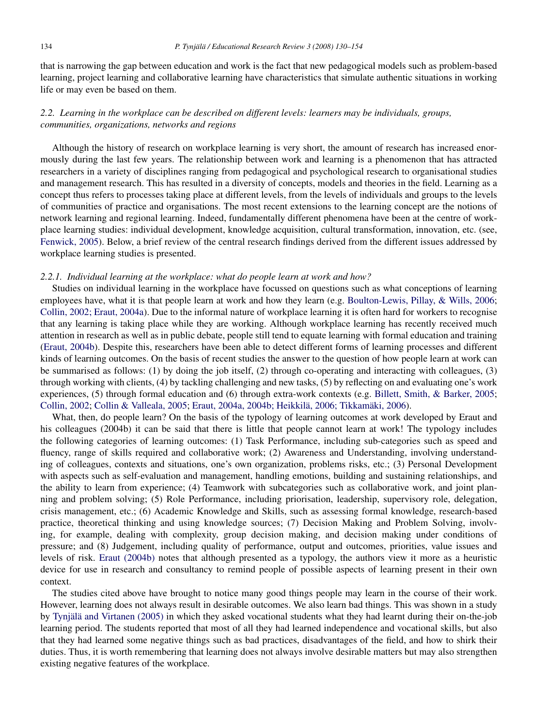that is narrowing the gap between education and work is the fact that new pedagogical models such as problem-based learning, project learning and collaborative learning have characteristics that simulate authentic situations in working life or may even be based on them.

# *2.2. Learning in the workplace can be described on different levels: learners may be individuals, groups, communities, organizations, networks and regions*

Although the history of research on workplace learning is very short, the amount of research has increased enormously during the last few years. The relationship between work and learning is a phenomenon that has attracted researchers in a variety of disciplines ranging from pedagogical and psychological research to organisational studies and management research. This has resulted in a diversity of concepts, models and theories in the field. Learning as a concept thus refers to processes taking place at different levels, from the levels of individuals and groups to the levels of communities of practice and organisations. The most recent extensions to the learning concept are the notions of network learning and regional learning. Indeed, fundamentally different phenomena have been at the centre of workplace learning studies: individual development, knowledge acquisition, cultural transformation, innovation, etc. (see, [Fenwick, 2005\).](#page-21-0) Below, a brief review of the central research findings derived from the different issues addressed by workplace learning studies is presented.

#### *2.2.1. Individual learning at the workplace: what do people learn at work and how?*

Studies on individual learning in the workplace have focussed on questions such as what conceptions of learning employees have, what it is that people learn at work and how they learn (e.g. [Boulton-Lewis, Pillay, & Wills, 2006;](#page-21-0) [Collin, 2002; Eraut, 2004a\).](#page-21-0) Due to the informal nature of workplace learning it is often hard for workers to recognise that any learning is taking place while they are working. Although workplace learning has recently received much attention in research as well as in public debate, people still tend to equate learning with formal education and training ([Eraut, 2004b\).](#page-21-0) Despite this, researchers have been able to detect different forms of learning processes and different kinds of learning outcomes. On the basis of recent studies the answer to the question of how people learn at work can be summarised as follows: (1) by doing the job itself, (2) through co-operating and interacting with colleagues, (3) through working with clients, (4) by tackling challenging and new tasks, (5) by reflecting on and evaluating one's work experiences, (5) through formal education and (6) through extra-work contexts (e.g. [Billett, Smith, & Barker, 2005;](#page-21-0) [Collin, 2002;](#page-21-0) [Collin & Valleala, 2005;](#page-21-0) Eraut, 2004a, 2004b; Heikkilä, [2006](#page-21-0); Tikkamäki, 2006).

What, then, do people learn? On the basis of the typology of learning outcomes at work developed by Eraut and his colleagues (2004b) it can be said that there is little that people cannot learn at work! The typology includes the following categories of learning outcomes: (1) Task Performance, including sub-categories such as speed and fluency, range of skills required and collaborative work; (2) Awareness and Understanding, involving understanding of colleagues, contexts and situations, one's own organization, problems risks, etc.; (3) Personal Development with aspects such as self-evaluation and management, handling emotions, building and sustaining relationships, and the ability to learn from experience; (4) Teamwork with subcategories such as collaborative work, and joint planning and problem solving; (5) Role Performance, including priorisation, leadership, supervisory role, delegation, crisis management, etc.; (6) Academic Knowledge and Skills, such as assessing formal knowledge, research-based practice, theoretical thinking and using knowledge sources; (7) Decision Making and Problem Solving, involving, for example, dealing with complexity, group decision making, and decision making under conditions of pressure; and (8) Judgement, including quality of performance, output and outcomes, priorities, value issues and levels of risk. [Eraut \(2004b\)](#page-21-0) notes that although presented as a typology, the authors view it more as a heuristic device for use in research and consultancy to remind people of possible aspects of learning present in their own context.

The studies cited above have brought to notice many good things people may learn in the course of their work. However, learning does not always result in desirable outcomes. We also learn bad things. This was shown in a study by Tynjälä [and Virtanen \(2005\)](#page-24-0) in which they asked vocational students what they had learnt during their on-the-job learning period. The students reported that most of all they had learned independence and vocational skills, but also that they had learned some negative things such as bad practices, disadvantages of the field, and how to shirk their duties. Thus, it is worth remembering that learning does not always involve desirable matters but may also strengthen existing negative features of the workplace.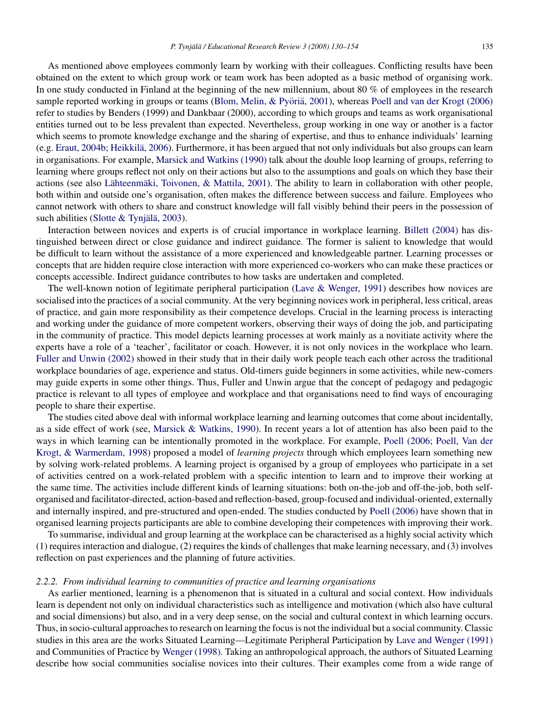As mentioned above employees commonly learn by working with their colleagues. Conflicting results have been obtained on the extent to which group work or team work has been adopted as a basic method of organising work. In one study conducted in Finland at the beginning of the new millennium, about 80 % of employees in the research sample reported working in groups or teams (Blom, Melin, & Pyöriä, [2001](#page-21-0)), whereas [Poell and van der Krogt \(2006\)](#page-23-0) refer to studies by Benders (1999) and Dankbaar (2000), according to which groups and teams as work organisational entities turned out to be less prevalent than expected. Nevertheless, group working in one way or another is a factor which seems to promote knowledge exchange and the sharing of expertise, and thus to enhance individuals' learning (e.g. Eraut, 2004b; Heikkilä, 2006). Furthermore, it has been argued that not only individuals but also groups can learn in organisations. For example, [Marsick and Watkins \(1990\)](#page-22-0) talk about the double loop learning of groups, referring to learning where groups reflect not only on their actions but also to the assumptions and goals on which they base their actions (see also Lähteenmäki, [Toivonen, & Mattila, 2001](#page-22-0)). The ability to learn in collaboration with other people, both within and outside one's organisation, often makes the difference between success and failure. Employees who cannot network with others to share and construct knowledge will fall visibly behind their peers in the possession of such abilities (Slotte & Tynjälä, [2003](#page-23-0)).

Interaction between novices and experts is of crucial importance in workplace learning. [Billett \(2004\)](#page-20-0) has distinguished between direct or close guidance and indirect guidance. The former is salient to knowledge that would be difficult to learn without the assistance of a more experienced and knowledgeable partner. Learning processes or concepts that are hidden require close interaction with more experienced co-workers who can make these practices or concepts accessible. Indirect guidance contributes to how tasks are undertaken and completed.

The well-known notion of legitimate peripheral participation [\(Lave & Wenger, 1991\)](#page-22-0) describes how novices are socialised into the practices of a social community. At the very beginning novices work in peripheral, less critical, areas of practice, and gain more responsibility as their competence develops. Crucial in the learning process is interacting and working under the guidance of more competent workers, observing their ways of doing the job, and participating in the community of practice. This model depicts learning processes at work mainly as a novitiate activity where the experts have a role of a 'teacher', facilitator or coach. However, it is not only novices in the workplace who learn. [Fuller and Unwin \(2002\)](#page-21-0) showed in their study that in their daily work people teach each other across the traditional workplace boundaries of age, experience and status. Old-timers guide beginners in some activities, while new-comers may guide experts in some other things. Thus, Fuller and Unwin argue that the concept of pedagogy and pedagogic practice is relevant to all types of employee and workplace and that organisations need to find ways of encouraging people to share their expertise.

The studies cited above deal with informal workplace learning and learning outcomes that come about incidentally, as a side effect of work (see, [Marsick & Watkins, 1990\).](#page-22-0) In recent years a lot of attention has also been paid to the ways in which learning can be intentionally promoted in the workplace. For example, [Poell \(2006;](#page-23-0) [Poell, Van der](#page-23-0) [Krogt, & Warmerdam, 1998\)](#page-23-0) proposed a model of *learning projects* through which employees learn something new by solving work-related problems. A learning project is organised by a group of employees who participate in a set of activities centred on a work-related problem with a specific intention to learn and to improve their working at the same time. The activities include different kinds of learning situations: both on-the-job and off-the-job, both selforganised and facilitator-directed, action-based and reflection-based, group-focused and individual-oriented, externally and internally inspired, and pre-structured and open-ended. The studies conducted by [Poell \(2006\)](#page-23-0) have shown that in organised learning projects participants are able to combine developing their competences with improving their work.

To summarise, individual and group learning at the workplace can be characterised as a highly social activity which (1) requires interaction and dialogue, (2) requires the kinds of challenges that make learning necessary, and (3) involves reflection on past experiences and the planning of future activities.

#### *2.2.2. From individual learning to communities of practice and learning organisations*

As earlier mentioned, learning is a phenomenon that is situated in a cultural and social context. How individuals learn is dependent not only on individual characteristics such as intelligence and motivation (which also have cultural and social dimensions) but also, and in a very deep sense, on the social and cultural context in which learning occurs. Thus, in socio-cultural approaches to research on learning the focus is not the individual but a social community. Classic studies in this area are the works Situated Learning—Legitimate Peripheral Participation by [Lave and Wenger \(1991\)](#page-22-0) and Communities of Practice by [Wenger \(1998\). T](#page-24-0)aking an anthropological approach, the authors of Situated Learning describe how social communities socialise novices into their cultures. Their examples come from a wide range of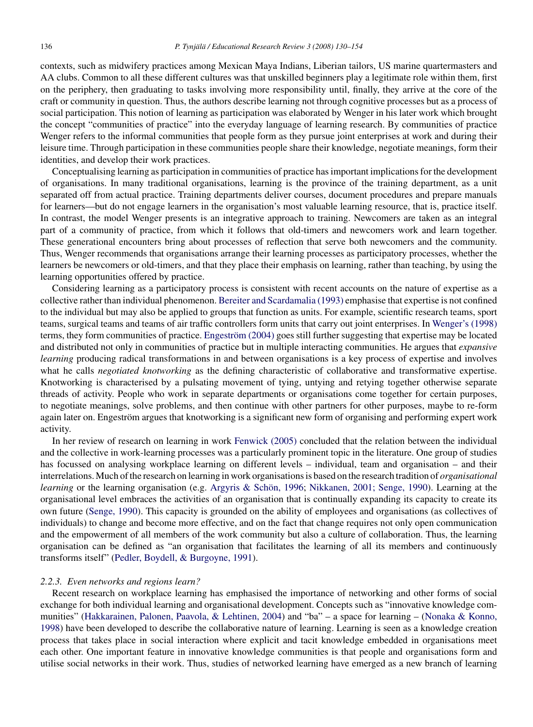contexts, such as midwifery practices among Mexican Maya Indians, Liberian tailors, US marine quartermasters and AA clubs. Common to all these different cultures was that unskilled beginners play a legitimate role within them, first on the periphery, then graduating to tasks involving more responsibility until, finally, they arrive at the core of the craft or community in question. Thus, the authors describe learning not through cognitive processes but as a process of social participation. This notion of learning as participation was elaborated by Wenger in his later work which brought the concept "communities of practice" into the everyday language of learning research. By communities of practice Wenger refers to the informal communities that people form as they pursue joint enterprises at work and during their leisure time. Through participation in these communities people share their knowledge, negotiate meanings, form their identities, and develop their work practices.

Conceptualising learning as participation in communities of practice has important implications for the development of organisations. In many traditional organisations, learning is the province of the training department, as a unit separated off from actual practice. Training departments deliver courses, document procedures and prepare manuals for learners—but do not engage learners in the organisation's most valuable learning resource, that is, practice itself. In contrast, the model Wenger presents is an integrative approach to training. Newcomers are taken as an integral part of a community of practice, from which it follows that old-timers and newcomers work and learn together. These generational encounters bring about processes of reflection that serve both newcomers and the community. Thus, Wenger recommends that organisations arrange their learning processes as participatory processes, whether the learners be newcomers or old-timers, and that they place their emphasis on learning, rather than teaching, by using the learning opportunities offered by practice.

Considering learning as a participatory process is consistent with recent accounts on the nature of expertise as a collective rather than individual phenomenon. [Bereiter and Scardamalia \(1993\)](#page-20-0) emphasise that expertise is not confined to the individual but may also be applied to groups that function as units. For example, scientific research teams, sport teams, surgical teams and teams of air traffic controllers form units that carry out joint enterprises. In [Wenger's \(1998\)](#page-24-0) terms, they form communities of practice. Engeström (2004) goes still further suggesting that expertise may be located and distributed not only in communities of practice but in multiple interacting communities. He argues that *expansive learning* producing radical transformations in and between organisations is a key process of expertise and involves what he calls *negotiated knotworking* as the defining characteristic of collaborative and transformative expertise. Knotworking is characterised by a pulsating movement of tying, untying and retying together otherwise separate threads of activity. People who work in separate departments or organisations come together for certain purposes, to negotiate meanings, solve problems, and then continue with other partners for other purposes, maybe to re-form again later on. Engeström argues that knotworking is a significant new form of organising and performing expert work activity.

In her review of research on learning in work [Fenwick \(2005\)](#page-21-0) concluded that the relation between the individual and the collective in work-learning processes was a particularly prominent topic in the literature. One group of studies has focussed on analysing workplace learning on different levels – individual, team and organisation – and their interrelations. Much of the research on learning in work organisations is based on the research tradition of *organisational learning* or the learning organisation (e.g. Argyris & Schön, 1996; [Nikkanen, 2001; Senge, 1990\).](#page-22-0) Learning at the organisational level embraces the activities of an organisation that is continually expanding its capacity to create its own future ([Senge, 1990\).](#page-23-0) This capacity is grounded on the ability of employees and organisations (as collectives of individuals) to change and become more effective, and on the fact that change requires not only open communication and the empowerment of all members of the work community but also a culture of collaboration. Thus, the learning organisation can be defined as "an organisation that facilitates the learning of all its members and continuously transforms itself" [\(Pedler, Boydell, & Burgoyne, 1991\).](#page-23-0)

#### *2.2.3. Even networks and regions learn?*

Recent research on workplace learning has emphasised the importance of networking and other forms of social exchange for both individual learning and organisational development. Concepts such as "innovative knowledge communities" [\(Hakkarainen, Palonen, Paavola, & Lehtinen, 2004\)](#page-22-0) and "ba" – a space for learning – ([Nonaka & Konno,](#page-22-0) [1998\)](#page-22-0) have been developed to describe the collaborative nature of learning. Learning is seen as a knowledge creation process that takes place in social interaction where explicit and tacit knowledge embedded in organisations meet each other. One important feature in innovative knowledge communities is that people and organisations form and utilise social networks in their work. Thus, studies of networked learning have emerged as a new branch of learning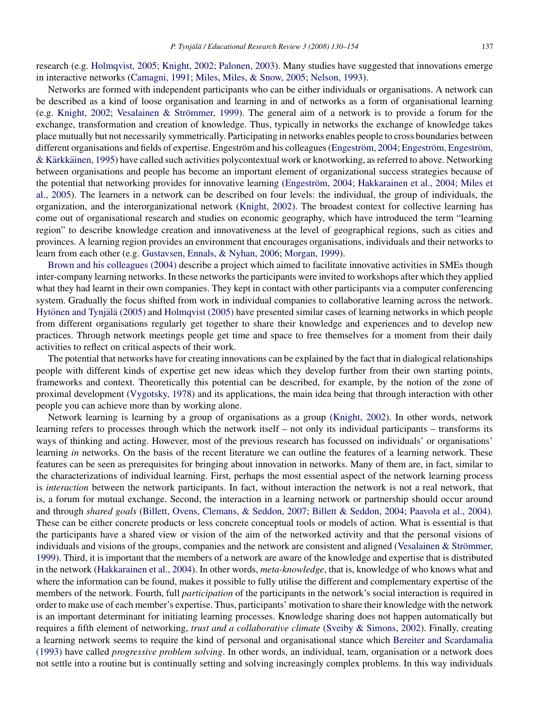research (e.g. [Holmqvist, 2005; Knight, 2002; Palonen, 2003\).](#page-22-0) Many studies have suggested that innovations emerge in interactive networks ([Camagni, 1991;](#page-21-0) [Miles, Miles, & Snow, 2005;](#page-22-0) [Nelson, 1993\).](#page-22-0)

Networks are formed with independent participants who can be either individuals or organisations. A network can be described as a kind of loose organisation and learning in and of networks as a form of organisational learning (e.g. [Knight, 2002;](#page-22-0) Vesalainen & Strömmer, 1999). The general aim of a network is to provide a forum for the exchange, transformation and creation of knowledge. Thus, typically in networks the exchange of knowledge takes place mutually but not necessarily symmetrically. Participating in networks enables people to cross boundaries between different organisations and fields of expertise. Engeström and his colleagues (Engeström, 2004; Engeström, Engeström, [& K](#page-21-0)ärkkäinen, 1995) have called such activities polycontextual work or knotworking, as referred to above. Networking between organisations and people has become an important element of organizational success strategies because of the potential that networking provides for innovative learning (Engeström, 2004; Hakkarainen et al., 2004; Miles et [al., 2005\).](#page-21-0) The learners in a network can be described on four levels: the individual, the group of individuals, the organization, and the interorganizational network [\(Knight, 2002\).](#page-22-0) The broadest context for collective learning has come out of organisational research and studies on economic geography, which have introduced the term "learning region" to describe knowledge creation and innovativeness at the level of geographical regions, such as cities and provinces. A learning region provides an environment that encourages organisations, individuals and their networks to learn from each other (e.g. [Gustavsen, Ennals, & Nyhan, 2006;](#page-21-0) [Morgan, 1999\).](#page-22-0)

[Brown and his colleagues \(2004\)](#page-21-0) describe a project which aimed to facilitate innovative activities in SMEs though inter-company learning networks. In these networks the participants were invited to workshops after which they applied what they had learnt in their own companies. They kept in contact with other participants via a computer conferencing system. Gradually the focus shifted from work in individual companies to collaborative learning across the network. Hytönen and Tynjälä [\(2005\)](#page-22-0) and [Holmqvist \(2005\)](#page-22-0) have presented similar cases of learning networks in which people from different organisations regularly get together to share their knowledge and experiences and to develop new practices. Through network meetings people get time and space to free themselves for a moment from their daily activities to reflect on critical aspects of their work.

The potential that networks have for creating innovations can be explained by the fact that in dialogical relationships people with different kinds of expertise get new ideas which they develop further from their own starting points, frameworks and context. Theoretically this potential can be described, for example, by the notion of the zone of proximal development ([Vygotsky, 1978\)](#page-24-0) and its applications, the main idea being that through interaction with other people you can achieve more than by working alone.

Network learning is learning by a group of organisations as a group ([Knight, 2002\).](#page-22-0) In other words, network learning refers to processes through which the network itself – not only its individual participants – transforms its ways of thinking and acting. However, most of the previous research has focussed on individuals' or organisations' learning *in* networks. On the basis of the recent literature we can outline the features of a learning network. These features can be seen as prerequisites for bringing about innovation in networks. Many of them are, in fact, similar to the characterizations of individual learning. First, perhaps the most essential aspect of the network learning process is *interaction* between the network participants. In fact, without interaction the network is not a real network, that is, a forum for mutual exchange. Second, the interaction in a learning network or partnership should occur around and through *shared goals* ([Billett, Ovens, Clemans, & Seddon, 2007;](#page-21-0) [Billett & Seddon, 2004;](#page-21-0) [Paavola et al., 2004\).](#page-22-0) These can be either concrete products or less concrete conceptual tools or models of action. What is essential is that the participants have a shared view or vision of the aim of the networked activity and that the personal visions of individuals and visions of the groups, companies and the network are consistent and aligned (Vesalainen  $&$  Strömmer, [1999\).](#page-24-0) Third, it is important that the members of a network are aware of the knowledge and expertise that is distributed in the network [\(Hakkarainen et al., 2004\).](#page-22-0) In other words, *meta-knowledge*, that is, knowledge of who knows what and where the information can be found, makes it possible to fully utilise the different and complementary expertise of the members of the network. Fourth, full *participation* of the participants in the network's social interaction is required in order to make use of each member's expertise. Thus, participants' motivation to share their knowledge with the network is an important determinant for initiating learning processes. Knowledge sharing does not happen automatically but requires a fifth element of networking, *trust and a collaborative climate* [\(Sveiby & Simons, 2002\).](#page-23-0) Finally, creating a learning network seems to require the kind of personal and organisational stance which [Bereiter and Scardamalia](#page-20-0) [\(1993\)](#page-20-0) have called *progressive problem solving*. In other words, an individual, team, organisation or a network does not settle into a routine but is continually setting and solving increasingly complex problems. In this way individuals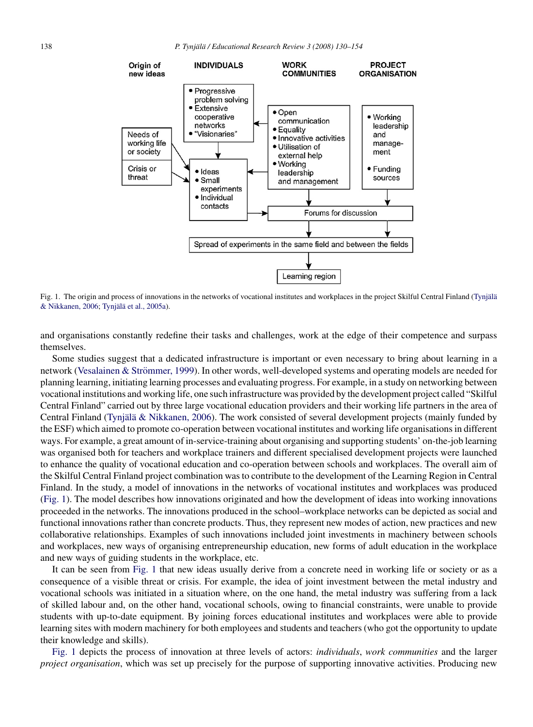

Fig. 1. The origin and process of innovations in the networks of vocational institutes and workplaces in the project Skilful Central Finland (Tynjälä [& Nikkanen, 2006;](#page-23-0) Tynjälä [et al., 2005a](#page-23-0)).

and organisations constantly redefine their tasks and challenges, work at the edge of their competence and surpass themselves.

Some studies suggest that a dedicated infrastructure is important or even necessary to bring about learning in a network (Vesalainen & Strömmer, 1999). In other words, well-developed systems and operating models are needed for planning learning, initiating learning processes and evaluating progress. For example, in a study on networking between vocational institutions and working life, one such infrastructure was provided by the development project called "Skilful Central Finland" carried out by three large vocational education providers and their working life partners in the area of Central Finland (Tynjälä [& Nikkanen, 2006](#page-23-0)). The work consisted of several development projects (mainly funded by the ESF) which aimed to promote co-operation between vocational institutes and working life organisations in different ways. For example, a great amount of in-service-training about organising and supporting students' on-the-job learning was organised both for teachers and workplace trainers and different specialised development projects were launched to enhance the quality of vocational education and co-operation between schools and workplaces. The overall aim of the Skilful Central Finland project combination was to contribute to the development of the Learning Region in Central Finland. In the study, a model of innovations in the networks of vocational institutes and workplaces was produced (Fig. 1). The model describes how innovations originated and how the development of ideas into working innovations proceeded in the networks. The innovations produced in the school–workplace networks can be depicted as social and functional innovations rather than concrete products. Thus, they represent new modes of action, new practices and new collaborative relationships. Examples of such innovations included joint investments in machinery between schools and workplaces, new ways of organising entrepreneurship education, new forms of adult education in the workplace and new ways of guiding students in the workplace, etc.

It can be seen from Fig. 1 that new ideas usually derive from a concrete need in working life or society or as a consequence of a visible threat or crisis. For example, the idea of joint investment between the metal industry and vocational schools was initiated in a situation where, on the one hand, the metal industry was suffering from a lack of skilled labour and, on the other hand, vocational schools, owing to financial constraints, were unable to provide students with up-to-date equipment. By joining forces educational institutes and workplaces were able to provide learning sites with modern machinery for both employees and students and teachers (who got the opportunity to update their knowledge and skills).

Fig. 1 depicts the process of innovation at three levels of actors: *individuals*, *work communities* and the larger *project organisation*, which was set up precisely for the purpose of supporting innovative activities. Producing new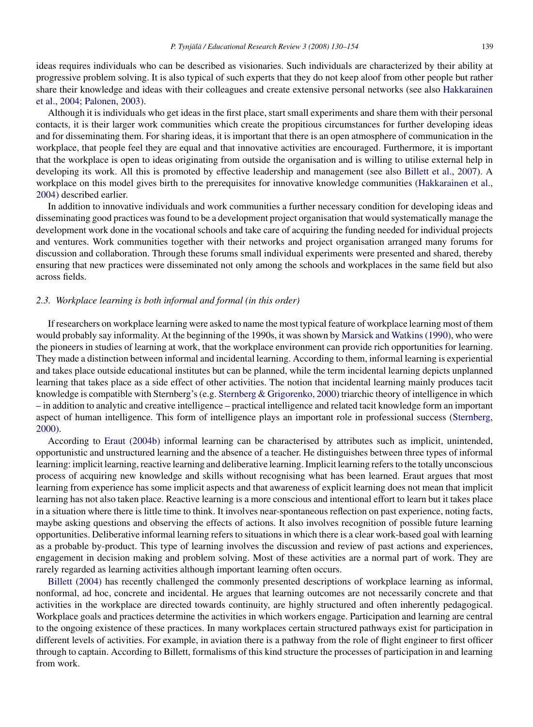ideas requires individuals who can be described as visionaries. Such individuals are characterized by their ability at progressive problem solving. It is also typical of such experts that they do not keep aloof from other people but rather share their knowledge and ideas with their colleagues and create extensive personal networks (see also [Hakkarainen](#page-22-0) [et al., 2004; Palonen, 2003\).](#page-22-0)

Although it is individuals who get ideas in the first place, start small experiments and share them with their personal contacts, it is their larger work communities which create the propitious circumstances for further developing ideas and for disseminating them. For sharing ideas, it is important that there is an open atmosphere of communication in the workplace, that people feel they are equal and that innovative activities are encouraged. Furthermore, it is important that the workplace is open to ideas originating from outside the organisation and is willing to utilise external help in developing its work. All this is promoted by effective leadership and management (see also [Billett et al., 2007\).](#page-21-0) A workplace on this model gives birth to the prerequisites for innovative knowledge communities [\(Hakkarainen et al.,](#page-22-0) [2004\)](#page-22-0) described earlier.

In addition to innovative individuals and work communities a further necessary condition for developing ideas and disseminating good practices was found to be a development project organisation that would systematically manage the development work done in the vocational schools and take care of acquiring the funding needed for individual projects and ventures. Work communities together with their networks and project organisation arranged many forums for discussion and collaboration. Through these forums small individual experiments were presented and shared, thereby ensuring that new practices were disseminated not only among the schools and workplaces in the same field but also across fields.

#### *2.3. Workplace learning is both informal and formal (in this order)*

If researchers on workplace learning were asked to name the most typical feature of workplace learning most of them would probably say informality. At the beginning of the 1990s, it was shown by [Marsick and Watkins \(1990\), w](#page-22-0)ho were the pioneers in studies of learning at work, that the workplace environment can provide rich opportunities for learning. They made a distinction between informal and incidental learning. According to them, informal learning is experiential and takes place outside educational institutes but can be planned, while the term incidental learning depicts unplanned learning that takes place as a side effect of other activities. The notion that incidental learning mainly produces tacit knowledge is compatible with Sternberg's (e.g. [Sternberg & Grigorenko, 2000\)](#page-23-0) triarchic theory of intelligence in which – in addition to analytic and creative intelligence – practical intelligence and related tacit knowledge form an important aspect of human intelligence. This form of intelligence plays an important role in professional success [\(Sternberg,](#page-23-0) [2000\).](#page-23-0)

According to [Eraut \(2004b\)](#page-21-0) informal learning can be characterised by attributes such as implicit, unintended, opportunistic and unstructured learning and the absence of a teacher. He distinguishes between three types of informal learning: implicit learning, reactive learning and deliberative learning. Implicit learning refers to the totally unconscious process of acquiring new knowledge and skills without recognising what has been learned. Eraut argues that most learning from experience has some implicit aspects and that awareness of explicit learning does not mean that implicit learning has not also taken place. Reactive learning is a more conscious and intentional effort to learn but it takes place in a situation where there is little time to think. It involves near-spontaneous reflection on past experience, noting facts, maybe asking questions and observing the effects of actions. It also involves recognition of possible future learning opportunities. Deliberative informal learning refers to situations in which there is a clear work-based goal with learning as a probable by-product. This type of learning involves the discussion and review of past actions and experiences, engagement in decision making and problem solving. Most of these activities are a normal part of work. They are rarely regarded as learning activities although important learning often occurs.

[Billett \(2004\)](#page-20-0) has recently challenged the commonly presented descriptions of workplace learning as informal, nonformal, ad hoc, concrete and incidental. He argues that learning outcomes are not necessarily concrete and that activities in the workplace are directed towards continuity, are highly structured and often inherently pedagogical. Workplace goals and practices determine the activities in which workers engage. Participation and learning are central to the ongoing existence of these practices. In many workplaces certain structured pathways exist for participation in different levels of activities. For example, in aviation there is a pathway from the role of flight engineer to first officer through to captain. According to Billett, formalisms of this kind structure the processes of participation in and learning from work.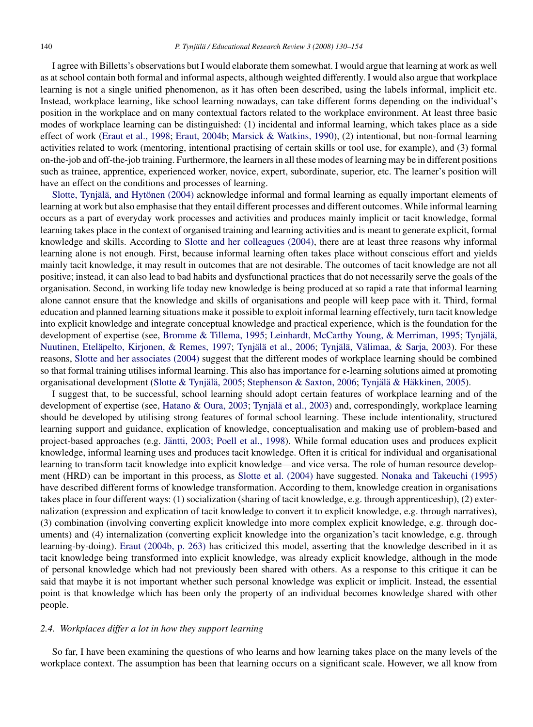I agree with Billetts's observations but I would elaborate them somewhat. I would argue that learning at work as well as at school contain both formal and informal aspects, although weighted differently. I would also argue that workplace learning is not a single unified phenomenon, as it has often been described, using the labels informal, implicit etc. Instead, workplace learning, like school learning nowadays, can take different forms depending on the individual's position in the workplace and on many contextual factors related to the workplace environment. At least three basic modes of workplace learning can be distinguished: (1) incidental and informal learning, which takes place as a side effect of work [\(Eraut et al., 1998;](#page-21-0) [Eraut, 2004b;](#page-21-0) [Marsick & Watkins, 1990\),](#page-22-0) (2) intentional, but non-formal learning activities related to work (mentoring, intentional practising of certain skills or tool use, for example), and (3) formal on-the-job and off-the-job training. Furthermore, the learners in all these modes of learning may be in different positions such as trainee, apprentice, experienced worker, novice, expert, subordinate, superior, etc. The learner's position will have an effect on the conditions and processes of learning.

Slotte, Tynjälä, [and H](#page-23-0)ytönen (2004) acknowledge informal and formal learning as equally important elements of learning at work but also emphasise that they entail different processes and different outcomes. While informal learning occurs as a part of everyday work processes and activities and produces mainly implicit or tacit knowledge, formal learning takes place in the context of organised training and learning activities and is meant to generate explicit, formal knowledge and skills. According to [Slotte and her colleagues \(2004\),](#page-23-0) there are at least three reasons why informal learning alone is not enough. First, because informal learning often takes place without conscious effort and yields mainly tacit knowledge, it may result in outcomes that are not desirable. The outcomes of tacit knowledge are not all positive; instead, it can also lead to bad habits and dysfunctional practices that do not necessarily serve the goals of the organisation. Second, in working life today new knowledge is being produced at so rapid a rate that informal learning alone cannot ensure that the knowledge and skills of organisations and people will keep pace with it. Third, formal education and planned learning situations make it possible to exploit informal learning effectively, turn tacit knowledge into explicit knowledge and integrate conceptual knowledge and practical experience, which is the foundation for the development of expertise (see, [Bromme & Tillema, 1995;](#page-21-0) [Leinhardt, McCarthy Young, & Merriman, 1995;](#page-22-0) Tynjälä, Nuutinen, Eteläpelto, Kirjonen, & Remes, 1997; Tynjälä [et al., 2006](#page-23-0); Tynjälä, Välimaa, & Sarja, 2003). For these reasons, [Slotte and her associates \(2004\)](#page-23-0) suggest that the different modes of workplace learning should be combined so that formal training utilises informal learning. This also has importance for e-learning solutions aimed at promoting organisational development (Slotte & Tynjälä, [2005](#page-23-0); [Stephenson & Saxton, 2006;](#page-23-0) Tynjälä & Häkkinen, 2005).

I suggest that, to be successful, school learning should adopt certain features of workplace learning and of the development of expertise (see, [Hatano & Oura, 2003;](#page-22-0) Tynjälä [et al., 2003](#page-24-0)) and, correspondingly, workplace learning should be developed by utilising strong features of formal school learning. These include intentionality, structured learning support and guidance, explication of knowledge, conceptualisation and making use of problem-based and project-based approaches (e.g. Jäntti, 2003; Poell et al., 1998). While formal education uses and produces explicit knowledge, informal learning uses and produces tacit knowledge. Often it is critical for individual and organisational learning to transform tacit knowledge into explicit knowledge—and vice versa. The role of human resource development (HRD) can be important in this process, as [Slotte et al. \(2004\)](#page-23-0) have suggested. [Nonaka and Takeuchi \(1995\)](#page-22-0) have described different forms of knowledge transformation. According to them, knowledge creation in organisations takes place in four different ways: (1) socialization (sharing of tacit knowledge, e.g. through apprenticeship), (2) externalization (expression and explication of tacit knowledge to convert it to explicit knowledge, e.g. through narratives), (3) combination (involving converting explicit knowledge into more complex explicit knowledge, e.g. through documents) and (4) internalization (converting explicit knowledge into the organization's tacit knowledge, e.g. through learning-by-doing). [Eraut \(2004b, p. 263\)](#page-21-0) has criticized this model, asserting that the knowledge described in it as tacit knowledge being transformed into explicit knowledge, was already explicit knowledge, although in the mode of personal knowledge which had not previously been shared with others. As a response to this critique it can be said that maybe it is not important whether such personal knowledge was explicit or implicit. Instead, the essential point is that knowledge which has been only the property of an individual becomes knowledge shared with other people.

# *2.4. Workplaces differ a lot in how they support learning*

So far, I have been examining the questions of who learns and how learning takes place on the many levels of the workplace context. The assumption has been that learning occurs on a significant scale. However, we all know from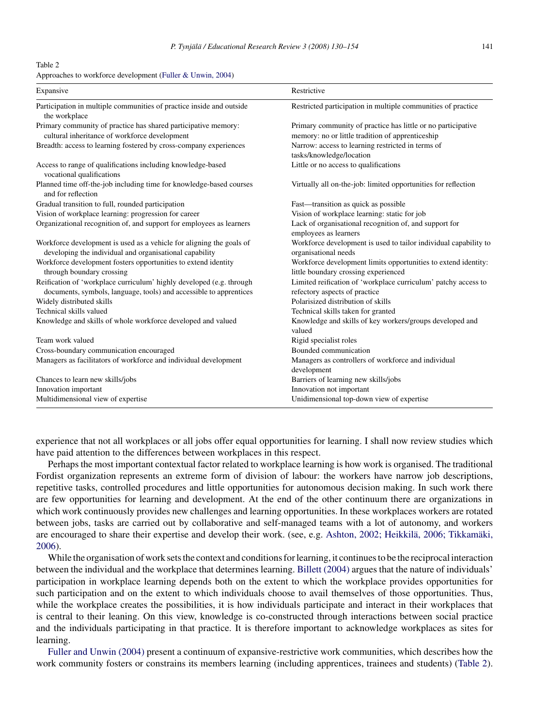Table 2

Approaches to workforce development [\(Fuller & Unwin, 2004\)](#page-21-0)

| Expansive                                                                                                                       | Restrictive                                                                                                      |
|---------------------------------------------------------------------------------------------------------------------------------|------------------------------------------------------------------------------------------------------------------|
| Participation in multiple communities of practice inside and outside<br>the workplace                                           | Restricted participation in multiple communities of practice                                                     |
| Primary community of practice has shared participative memory:<br>cultural inheritance of workforce development                 | Primary community of practice has little or no participative<br>memory: no or little tradition of apprenticeship |
| Breadth: access to learning fostered by cross-company experiences                                                               | Narrow: access to learning restricted in terms of<br>tasks/knowledge/location                                    |
| Access to range of qualifications including knowledge-based<br>vocational qualifications                                        | Little or no access to qualifications                                                                            |
| Planned time off-the-job including time for knowledge-based courses<br>and for reflection                                       | Virtually all on-the-job: limited opportunities for reflection                                                   |
| Gradual transition to full, rounded participation                                                                               | Fast—transition as quick as possible                                                                             |
| Vision of workplace learning: progression for career                                                                            | Vision of workplace learning: static for job                                                                     |
| Organizational recognition of, and support for employees as learners                                                            | Lack of organisational recognition of, and support for<br>employees as learners                                  |
| Workforce development is used as a vehicle for aligning the goals of<br>developing the individual and organisational capability | Workforce development is used to tailor individual capability to<br>organisational needs                         |
| Workforce development fosters opportunities to extend identity<br>through boundary crossing                                     | Workforce development limits opportunities to extend identity:<br>little boundary crossing experienced           |
| Reification of 'workplace curriculum' highly developed (e.g. through                                                            | Limited reification of 'workplace curriculum' patchy access to                                                   |
| documents, symbols, language, tools) and accessible to apprentices                                                              | refectory aspects of practice                                                                                    |
| Widely distributed skills                                                                                                       | Polarisized distribution of skills                                                                               |
| Technical skills valued                                                                                                         | Technical skills taken for granted                                                                               |
| Knowledge and skills of whole workforce developed and valued                                                                    | Knowledge and skills of key workers/groups developed and<br>valued                                               |
| Team work valued                                                                                                                | Rigid specialist roles                                                                                           |
| Cross-boundary communication encouraged                                                                                         | Bounded communication                                                                                            |
| Managers as facilitators of workforce and individual development                                                                | Managers as controllers of workforce and individual<br>development                                               |
| Chances to learn new skills/jobs                                                                                                | Barriers of learning new skills/jobs                                                                             |
| Innovation important                                                                                                            | Innovation not important                                                                                         |
| Multidimensional view of expertise                                                                                              | Unidimensional top-down view of expertise                                                                        |

experience that not all workplaces or all jobs offer equal opportunities for learning. I shall now review studies which have paid attention to the differences between workplaces in this respect.

Perhaps the most important contextual factor related to workplace learning is how work is organised. The traditional Fordist organization represents an extreme form of division of labour: the workers have narrow job descriptions, repetitive tasks, controlled procedures and little opportunities for autonomous decision making. In such work there are few opportunities for learning and development. At the end of the other continuum there are organizations in which work continuously provides new challenges and learning opportunities. In these workplaces workers are rotated between jobs, tasks are carried out by collaborative and self-managed teams with a lot of autonomy, and workers are encouraged to share their expertise and develop their work. (see, e.g. Ashton, 2002; Heikkilä, 2006; Tikkamäki, [2006\).](#page-20-0)

While the organisation of work sets the context and conditions for learning, it continues to be the reciprocal interaction between the individual and the workplace that determines learning. [Billett \(2004\)](#page-20-0) argues that the nature of individuals' participation in workplace learning depends both on the extent to which the workplace provides opportunities for such participation and on the extent to which individuals choose to avail themselves of those opportunities. Thus, while the workplace creates the possibilities, it is how individuals participate and interact in their workplaces that is central to their leaning. On this view, knowledge is co-constructed through interactions between social practice and the individuals participating in that practice. It is therefore important to acknowledge workplaces as sites for learning.

[Fuller and Unwin \(2004\)](#page-21-0) present a continuum of expansive-restrictive work communities, which describes how the work community fosters or constrains its members learning (including apprentices, trainees and students) (Table 2).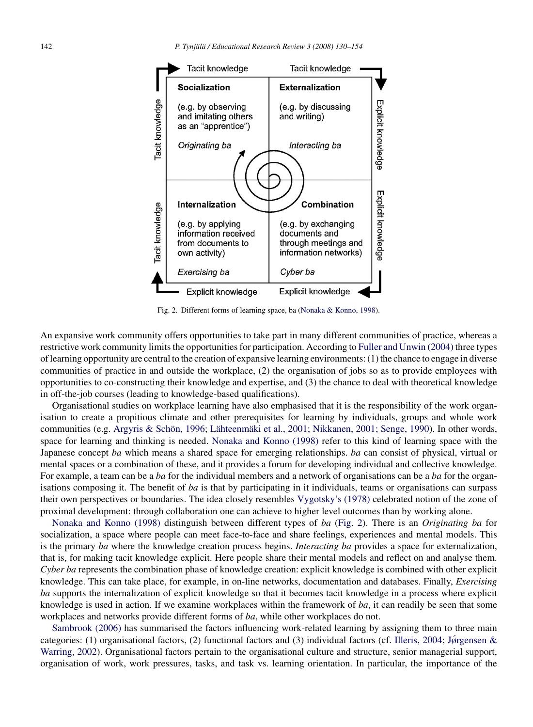

Fig. 2. Different forms of learning space, ba ([Nonaka & Konno, 1998\).](#page-22-0)

An expansive work community offers opportunities to take part in many different communities of practice, whereas a restrictive work community limits the opportunities for participation. According to [Fuller and Unwin \(2004\)](#page-21-0) three types of learning opportunity are central to the creation of expansive learning environments: (1) the chance to engage in diverse communities of practice in and outside the workplace, (2) the organisation of jobs so as to provide employees with opportunities to co-constructing their knowledge and expertise, and (3) the chance to deal with theoretical knowledge in off-the-job courses (leading to knowledge-based qualifications).

Organisational studies on workplace learning have also emphasised that it is the responsibility of the work organisation to create a propitious climate and other prerequisites for learning by individuals, groups and whole work communities (e.g. Argyris & Schön, 1996; Lähteenmäki [et al., 2001; Nikkanen, 2001; Senge, 1990](#page-22-0)). In other words, space for learning and thinking is needed. [Nonaka and Konno \(1998\)](#page-22-0) refer to this kind of learning space with the Japanese concept *ba* which means a shared space for emerging relationships. *ba* can consist of physical, virtual or mental spaces or a combination of these, and it provides a forum for developing individual and collective knowledge. For example, a team can be a *ba* for the individual members and a network of organisations can be a *ba* for the organisations composing it. The benefit of *ba* is that by participating in it individuals, teams or organisations can surpass their own perspectives or boundaries. The idea closely resembles [Vygotsky's \(1978\)](#page-24-0) celebrated notion of the zone of proximal development: through collaboration one can achieve to higher level outcomes than by working alone.

[Nonaka and Konno \(1998\)](#page-22-0) distinguish between different types of *ba* (Fig. 2). There is an *Originating ba* for socialization, a space where people can meet face-to-face and share feelings, experiences and mental models. This is the primary *ba* where the knowledge creation process begins. *Interacting ba* provides a space for externalization, that is, for making tacit knowledge explicit. Here people share their mental models and reflect on and analyse them. *Cyber ba* represents the combination phase of knowledge creation: explicit knowledge is combined with other explicit knowledge. This can take place, for example, in on-line networks, documentation and databases. Finally, *Exercising ba* supports the internalization of explicit knowledge so that it becomes tacit knowledge in a process where explicit knowledge is used in action. If we examine workplaces within the framework of *ba*, it can readily be seen that some workplaces and networks provide different forms of *ba*, while other workplaces do not.

[Sambrook \(2006\)](#page-23-0) has summarised the factors influencing work-related learning by assigning them to three main categories: (1) organisational factors, (2) functional factors and (3) individual factors (cf. [Illeris, 2004;](#page-22-0) Jørgensen  $\&$ [Warring, 2002\).](#page-22-0) Organisational factors pertain to the organisational culture and structure, senior managerial support, organisation of work, work pressures, tasks, and task vs. learning orientation. In particular, the importance of the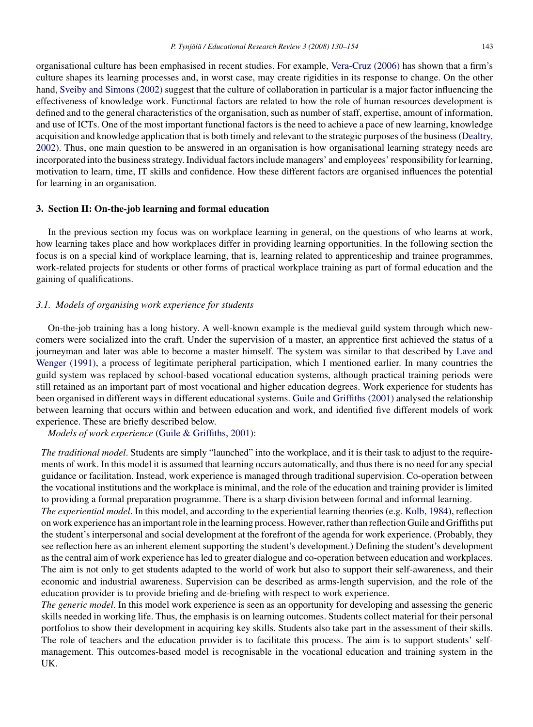organisational culture has been emphasised in recent studies. For example, [Vera-Cruz \(2006\)](#page-24-0) has shown that a firm's culture shapes its learning processes and, in worst case, may create rigidities in its response to change. On the other hand, [Sveiby and Simons \(2002\)](#page-23-0) suggest that the culture of collaboration in particular is a major factor influencing the effectiveness of knowledge work. Functional factors are related to how the role of human resources development is defined and to the general characteristics of the organisation, such as number of staff, expertise, amount of information, and use of ICTs. One of the most important functional factors is the need to achieve a pace of new learning, knowledge acquisition and knowledge application that is both timely and relevant to the strategic purposes of the business [\(Dealtry,](#page-21-0) [2002\).](#page-21-0) Thus, one main question to be answered in an organisation is how organisational learning strategy needs are incorporated into the business strategy. Individual factors include managers' and employees' responsibility for learning, motivation to learn, time, IT skills and confidence. How these different factors are organised influences the potential for learning in an organisation.

## **3. Section II: On-the-job learning and formal education**

In the previous section my focus was on workplace learning in general, on the questions of who learns at work, how learning takes place and how workplaces differ in providing learning opportunities. In the following section the focus is on a special kind of workplace learning, that is, learning related to apprenticeship and trainee programmes, work-related projects for students or other forms of practical workplace training as part of formal education and the gaining of qualifications.

#### *3.1. Models of organising work experience for students*

On-the-job training has a long history. A well-known example is the medieval guild system through which newcomers were socialized into the craft. Under the supervision of a master, an apprentice first achieved the status of a journeyman and later was able to become a master himself. The system was similar to that described by [Lave and](#page-22-0) [Wenger \(1991\),](#page-22-0) a process of legitimate peripheral participation, which I mentioned earlier. In many countries the guild system was replaced by school-based vocational education systems, although practical training periods were still retained as an important part of most vocational and higher education degrees. Work experience for students has been organised in different ways in different educational systems. [Guile and Griffiths \(2001\)](#page-21-0) analysed the relationship between learning that occurs within and between education and work, and identified five different models of work experience. These are briefly described below.

*Models of work experience* [\(Guile & Griffiths, 2001\):](#page-21-0)

*The traditional model*. Students are simply "launched" into the workplace, and it is their task to adjust to the requirements of work. In this model it is assumed that learning occurs automatically, and thus there is no need for any special guidance or facilitation. Instead, work experience is managed through traditional supervision. Co-operation between the vocational institutions and the workplace is minimal, and the role of the education and training provider is limited to providing a formal preparation programme. There is a sharp division between formal and informal learning.

*The experiential model*. In this model, and according to the experiential learning theories (e.g. [Kolb, 1984\),](#page-22-0) reflection on work experience has an important role in the learning process. However, rather than reflection Guile and Griffiths put the student's interpersonal and social development at the forefront of the agenda for work experience. (Probably, they see reflection here as an inherent element supporting the student's development.) Defining the student's development as the central aim of work experience has led to greater dialogue and co-operation between education and workplaces. The aim is not only to get students adapted to the world of work but also to support their self-awareness, and their economic and industrial awareness. Supervision can be described as arms-length supervision, and the role of the education provider is to provide briefing and de-briefing with respect to work experience.

*The generic model*. In this model work experience is seen as an opportunity for developing and assessing the generic skills needed in working life. Thus, the emphasis is on learning outcomes. Students collect material for their personal portfolios to show their development in acquiring key skills. Students also take part in the assessment of their skills. The role of teachers and the education provider is to facilitate this process. The aim is to support students' selfmanagement. This outcomes-based model is recognisable in the vocational education and training system in the UK.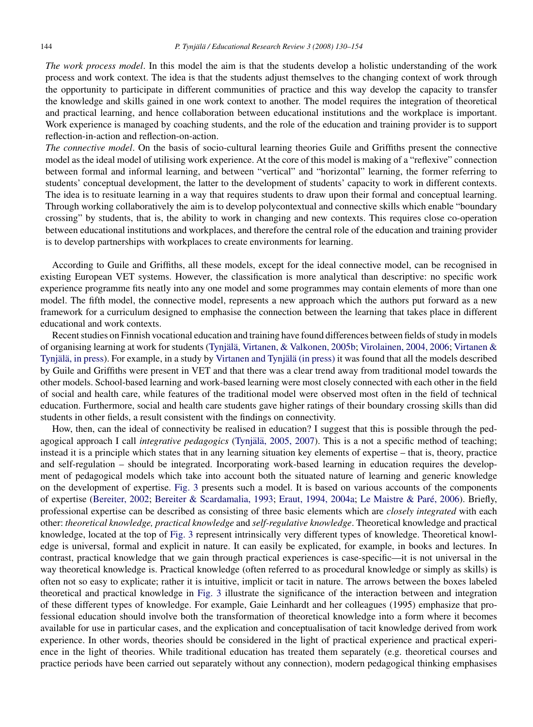*The work process model*. In this model the aim is that the students develop a holistic understanding of the work process and work context. The idea is that the students adjust themselves to the changing context of work through the opportunity to participate in different communities of practice and this way develop the capacity to transfer the knowledge and skills gained in one work context to another. The model requires the integration of theoretical and practical learning, and hence collaboration between educational institutions and the workplace is important. Work experience is managed by coaching students, and the role of the education and training provider is to support reflection-in-action and reflection-on-action.

*The connective model*. On the basis of socio-cultural learning theories Guile and Griffiths present the connective model as the ideal model of utilising work experience. At the core of this model is making of a "reflexive" connection between formal and informal learning, and between "vertical" and "horizontal" learning, the former referring to students' conceptual development, the latter to the development of students' capacity to work in different contexts. The idea is to resituate learning in a way that requires students to draw upon their formal and conceptual learning. Through working collaboratively the aim is to develop polycontextual and connective skills which enable "boundary crossing" by students, that is, the ability to work in changing and new contexts. This requires close co-operation between educational institutions and workplaces, and therefore the central role of the education and training provider is to develop partnerships with workplaces to create environments for learning.

According to Guile and Griffiths, all these models, except for the ideal connective model, can be recognised in existing European VET systems. However, the classification is more analytical than descriptive: no specific work experience programme fits neatly into any one model and some programmes may contain elements of more than one model. The fifth model, the connective model, represents a new approach which the authors put forward as a new framework for a curriculum designed to emphasise the connection between the learning that takes place in different educational and work contexts.

Recent studies on Finnish vocational education and training have found differences between fields of study in models of organising learning at work for students (Tynjälä, [Virtanen, & Valkonen, 2005b](#page-24-0); [Virolainen, 2004, 2006;](#page-24-0) [Virtanen &](#page-24-0) Tynjälä, [in press](#page-24-0)). For example, in a study by Virtanen and Tynjälä [\(in press\)](#page-24-0) it was found that all the models described by Guile and Griffiths were present in VET and that there was a clear trend away from traditional model towards the other models. School-based learning and work-based learning were most closely connected with each other in the field of social and health care, while features of the traditional model were observed most often in the field of technical education. Furthermore, social and health care students gave higher ratings of their boundary crossing skills than did students in other fields, a result consistent with the findings on connectivity.

How, then, can the ideal of connectivity be realised in education? I suggest that this is possible through the pedagogical approach I call *integrative pedagogics* (Tynjälä, [2005, 2007](#page-23-0)). This is a not a specific method of teaching; instead it is a principle which states that in any learning situation key elements of expertise – that is, theory, practice and self-regulation – should be integrated. Incorporating work-based learning in education requires the development of pedagogical models which take into account both the situated nature of learning and generic knowledge on the development of expertise. [Fig. 3](#page-15-0) presents such a model. It is based on various accounts of the components of expertise ([Bereiter, 2002;](#page-20-0) [Bereiter & Scardamalia, 1993;](#page-20-0) [Eraut, 1994, 2004a;](#page-21-0) Le Maistre & Paré, 2006). Briefly, professional expertise can be described as consisting of three basic elements which are *closely integrated* with each other: *theoretical knowledge, practical knowledge* and *self-regulative knowledge*. Theoretical knowledge and practical knowledge, located at the top of [Fig. 3](#page-15-0) represent intrinsically very different types of knowledge. Theoretical knowledge is universal, formal and explicit in nature. It can easily be explicated, for example, in books and lectures. In contrast, practical knowledge that we gain through practical experiences is case-specific—it is not universal in the way theoretical knowledge is. Practical knowledge (often referred to as procedural knowledge or simply as skills) is often not so easy to explicate; rather it is intuitive, implicit or tacit in nature. The arrows between the boxes labeled theoretical and practical knowledge in [Fig. 3](#page-15-0) illustrate the significance of the interaction between and integration of these different types of knowledge. For example, Gaie Leinhardt and her colleagues (1995) emphasize that professional education should involve both the transformation of theoretical knowledge into a form where it becomes available for use in particular cases, and the explication and conceptualisation of tacit knowledge derived from work experience. In other words, theories should be considered in the light of practical experience and practical experience in the light of theories. While traditional education has treated them separately (e.g. theoretical courses and practice periods have been carried out separately without any connection), modern pedagogical thinking emphasises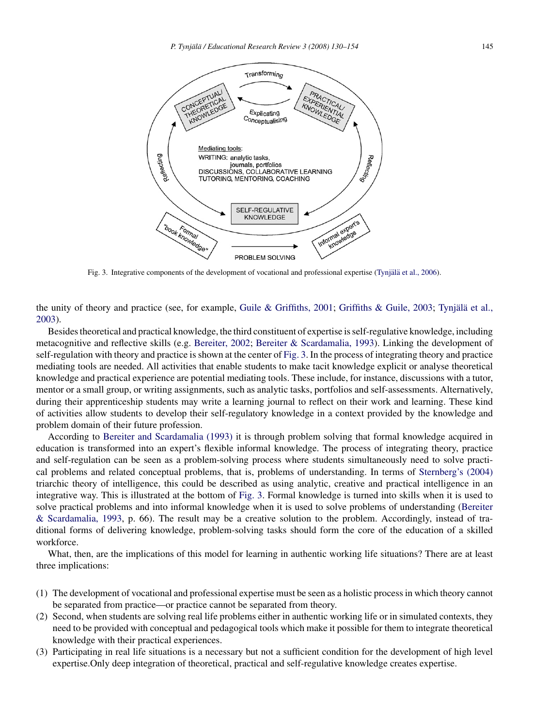<span id="page-15-0"></span>

Fig. 3. Integrative components of the development of vocational and professional expertise (Tynjälä [et al., 2006](#page-23-0)).

the unity of theory and practice (see, for example, [Guile & Griffiths, 2001;](#page-21-0) [Griffiths & Guile, 2003;](#page-21-0) Tynjälä [et al.,](#page-24-0) [2003\).](#page-24-0)

Besides theoretical and practical knowledge, the third constituent of expertise is self-regulative knowledge, including metacognitive and reflective skills (e.g. [Bereiter, 2002;](#page-20-0) [Bereiter & Scardamalia, 1993\).](#page-20-0) Linking the development of self-regulation with theory and practice is shown at the center of Fig. 3. In the process of integrating theory and practice mediating tools are needed. All activities that enable students to make tacit knowledge explicit or analyse theoretical knowledge and practical experience are potential mediating tools. These include, for instance, discussions with a tutor, mentor or a small group, or writing assignments, such as analytic tasks, portfolios and self-assessments. Alternatively, during their apprenticeship students may write a learning journal to reflect on their work and learning. These kind of activities allow students to develop their self-regulatory knowledge in a context provided by the knowledge and problem domain of their future profession.

According to [Bereiter and Scardamalia \(1993\)](#page-20-0) it is through problem solving that formal knowledge acquired in education is transformed into an expert's flexible informal knowledge. The process of integrating theory, practice and self-regulation can be seen as a problem-solving process where students simultaneously need to solve practical problems and related conceptual problems, that is, problems of understanding. In terms of [Sternberg's \(2004\)](#page-23-0) triarchic theory of intelligence, this could be described as using analytic, creative and practical intelligence in an integrative way. This is illustrated at the bottom of Fig. 3. Formal knowledge is turned into skills when it is used to solve practical problems and into informal knowledge when it is used to solve problems of understanding [\(Bereiter](#page-20-0) [& Scardamalia, 1993,](#page-20-0) p. 66). The result may be a creative solution to the problem. Accordingly, instead of traditional forms of delivering knowledge, problem-solving tasks should form the core of the education of a skilled workforce.

What, then, are the implications of this model for learning in authentic working life situations? There are at least three implications:

- (1) The development of vocational and professional expertise must be seen as a holistic process in which theory cannot be separated from practice—or practice cannot be separated from theory.
- (2) Second, when students are solving real life problems either in authentic working life or in simulated contexts, they need to be provided with conceptual and pedagogical tools which make it possible for them to integrate theoretical knowledge with their practical experiences.
- (3) Participating in real life situations is a necessary but not a sufficient condition for the development of high level expertise.Only deep integration of theoretical, practical and self-regulative knowledge creates expertise.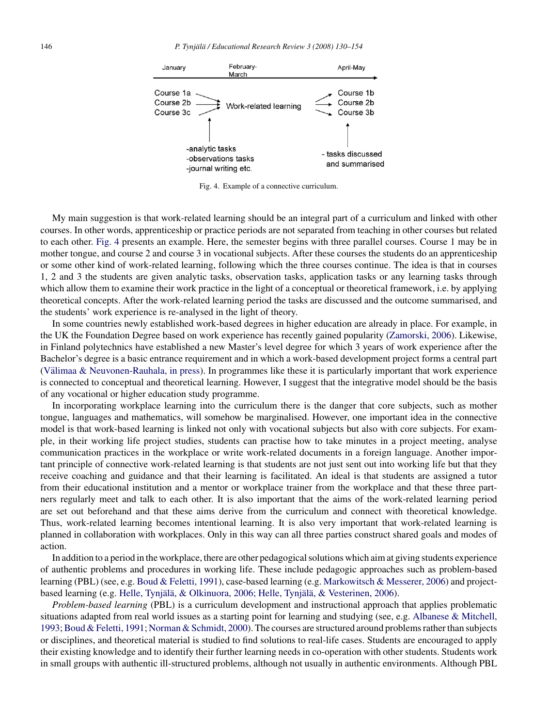

Fig. 4. Example of a connective curriculum.

My main suggestion is that work-related learning should be an integral part of a curriculum and linked with other courses. In other words, apprenticeship or practice periods are not separated from teaching in other courses but related to each other. Fig. 4 presents an example. Here, the semester begins with three parallel courses. Course 1 may be in mother tongue, and course 2 and course 3 in vocational subjects. After these courses the students do an apprenticeship or some other kind of work-related learning, following which the three courses continue. The idea is that in courses 1, 2 and 3 the students are given analytic tasks, observation tasks, application tasks or any learning tasks through which allow them to examine their work practice in the light of a conceptual or theoretical framework, i.e. by applying theoretical concepts. After the work-related learning period the tasks are discussed and the outcome summarised, and the students' work experience is re-analysed in the light of theory.

In some countries newly established work-based degrees in higher education are already in place. For example, in the UK the Foundation Degree based on work experience has recently gained popularity ([Zamorski, 2006\).](#page-24-0) Likewise, in Finland polytechnics have established a new Master's level degree for which 3 years of work experience after the Bachelor's degree is a basic entrance requirement and in which a work-based development project forms a central part (Välimaa  $&$  Neuvonen-Rauhala, in press). In programmes like these it is particularly important that work experience is connected to conceptual and theoretical learning. However, I suggest that the integrative model should be the basis of any vocational or higher education study programme.

In incorporating workplace learning into the curriculum there is the danger that core subjects, such as mother tongue, languages and mathematics, will somehow be marginalised. However, one important idea in the connective model is that work-based learning is linked not only with vocational subjects but also with core subjects. For example, in their working life project studies, students can practise how to take minutes in a project meeting, analyse communication practices in the workplace or write work-related documents in a foreign language. Another important principle of connective work-related learning is that students are not just sent out into working life but that they receive coaching and guidance and that their learning is facilitated. An ideal is that students are assigned a tutor from their educational institution and a mentor or workplace trainer from the workplace and that these three partners regularly meet and talk to each other. It is also important that the aims of the work-related learning period are set out beforehand and that these aims derive from the curriculum and connect with theoretical knowledge. Thus, work-related learning becomes intentional learning. It is also very important that work-related learning is planned in collaboration with workplaces. Only in this way can all three parties construct shared goals and modes of action.

In addition to a period in the workplace, there are other pedagogical solutions which aim at giving students experience of authentic problems and procedures in working life. These include pedagogic approaches such as problem-based learning (PBL) (see, e.g. [Boud & Feletti, 1991\),](#page-21-0) case-based learning (e.g. [Markowitsch & Messerer, 2006\)](#page-22-0) and project-based learning (e.g. Helle, Tynjälä, [& Olkinuora, 2006; Helle, Tynj](#page-22-0)älä, [& Vesterinen, 2006](#page-22-0)).

*Problem-based learning* (PBL) is a curriculum development and instructional approach that applies problematic situations adapted from real world issues as a starting point for learning and studying (see, e.g. [Albanese & Mitchell,](#page-20-0) [1993;](#page-20-0) [Boud & Feletti, 1991;](#page-21-0) [Norman & Schmidt, 2000\).](#page-22-0) The courses are structured around problems rather than subjects or disciplines, and theoretical material is studied to find solutions to real-life cases. Students are encouraged to apply their existing knowledge and to identify their further learning needs in co-operation with other students. Students work in small groups with authentic ill-structured problems, although not usually in authentic environments. Although PBL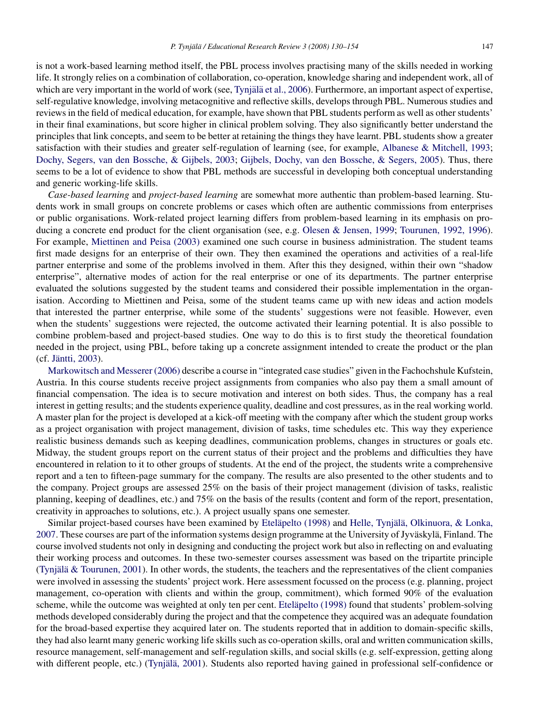is not a work-based learning method itself, the PBL process involves practising many of the skills needed in working life. It strongly relies on a combination of collaboration, co-operation, knowledge sharing and independent work, all of which are very important in the world of work (see, Tynjälä [et al., 2006](#page-23-0)). Furthermore, an important aspect of expertise, self-regulative knowledge, involving metacognitive and reflective skills, develops through PBL. Numerous studies and reviews in the field of medical education, for example, have shown that PBL students perform as well as other students' in their final examinations, but score higher in clinical problem solving. They also significantly better understand the principles that link concepts, and seem to be better at retaining the things they have learnt. PBL students show a greater satisfaction with their studies and greater self-regulation of learning (see, for example, [Albanese & Mitchell, 1993;](#page-20-0) [Dochy, Segers, van den Bossche, & Gijbels, 2003;](#page-21-0) [Gijbels, Dochy, van den Bossche, & Segers, 2005\).](#page-21-0) Thus, there seems to be a lot of evidence to show that PBL methods are successful in developing both conceptual understanding and generic working-life skills.

*Case-based learning* and *project-based learning* are somewhat more authentic than problem-based learning. Students work in small groups on concrete problems or cases which often are authentic commissions from enterprises or public organisations. Work-related project learning differs from problem-based learning in its emphasis on pro-ducing a concrete end product for the client organisation (see, e.g. [Olesen & Jensen, 1999;](#page-22-0) [Tourunen, 1992, 1996\).](#page-23-0) For example, [Miettinen and Peisa \(2003\)](#page-22-0) examined one such course in business administration. The student teams first made designs for an enterprise of their own. They then examined the operations and activities of a real-life partner enterprise and some of the problems involved in them. After this they designed, within their own "shadow enterprise", alternative modes of action for the real enterprise or one of its departments. The partner enterprise evaluated the solutions suggested by the student teams and considered their possible implementation in the organisation. According to Miettinen and Peisa, some of the student teams came up with new ideas and action models that interested the partner enterprise, while some of the students' suggestions were not feasible. However, even when the students' suggestions were rejected, the outcome activated their learning potential. It is also possible to combine problem-based and project-based studies. One way to do this is to first study the theoretical foundation needed in the project, using PBL, before taking up a concrete assignment intended to create the product or the plan (cf. Jäntti, 2003).

[Markowitsch and Messerer \(2006\)](#page-22-0) describe a course in "integrated case studies" given in the Fachochshule Kufstein, Austria. In this course students receive project assignments from companies who also pay them a small amount of financial compensation. The idea is to secure motivation and interest on both sides. Thus, the company has a real interest in getting results; and the students experience quality, deadline and cost pressures, as in the real working world. A master plan for the project is developed at a kick-off meeting with the company after which the student group works as a project organisation with project management, division of tasks, time schedules etc. This way they experience realistic business demands such as keeping deadlines, communication problems, changes in structures or goals etc. Midway, the student groups report on the current status of their project and the problems and difficulties they have encountered in relation to it to other groups of students. At the end of the project, the students write a comprehensive report and a ten to fifteen-page summary for the company. The results are also presented to the other students and to the company. Project groups are assessed 25% on the basis of their project management (division of tasks, realistic planning, keeping of deadlines, etc.) and 75% on the basis of the results (content and form of the report, presentation, creativity in approaches to solutions, etc.). A project usually spans one semester.

Similar project-based courses have been examined by Eteläpelto (1998) and Helle, Tynjälä, [Olkinuora, & Lonka,](#page-22-0) [2007. T](#page-22-0)hese courses are part of the information systems design programme at the University of Jyväskylä, Finland. The course involved students not only in designing and conducting the project work but also in reflecting on and evaluating their working process and outcomes. In these two-semester courses assessment was based on the tripartite principle  $(Tyni)$  a [& Tourunen, 2001](#page-24-0)). In other words, the students, the teachers and the representatives of the client companies were involved in assessing the students' project work. Here assessment focussed on the process (e.g. planning, project management, co-operation with clients and within the group, commitment), which formed 90% of the evaluation scheme, while the outcome was weighted at only ten per cent. Eteläpelto (1998) found that students' problem-solving methods developed considerably during the project and that the competence they acquired was an adequate foundation for the broad-based expertise they acquired later on. The students reported that in addition to domain-specific skills, they had also learnt many generic working life skills such as co-operation skills, oral and written communication skills, resource management, self-management and self-regulation skills, and social skills (e.g. self-expression, getting along with different people, etc.) (Tynjälä, [2001](#page-23-0)). Students also reported having gained in professional self-confidence or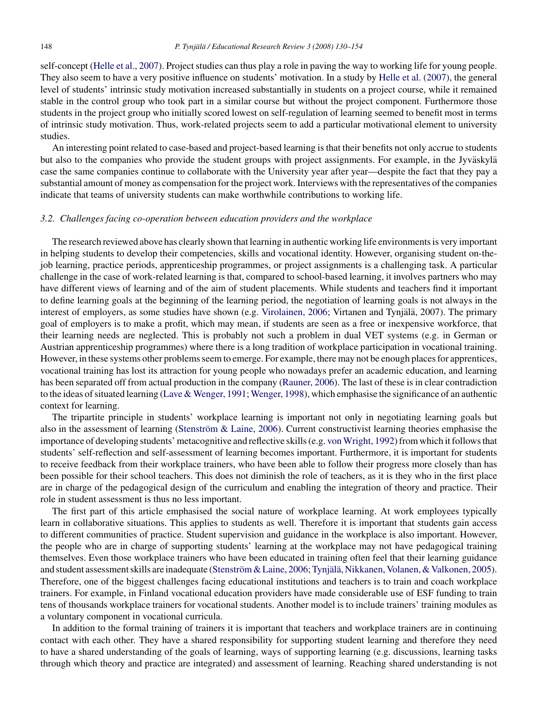self-concept [\(Helle et al., 2007\).](#page-22-0) Project studies can thus play a role in paving the way to working life for young people. They also seem to have a very positive influence on students' motivation. In a study by [Helle et al. \(2007\), t](#page-22-0)he general level of students' intrinsic study motivation increased substantially in students on a project course, while it remained stable in the control group who took part in a similar course but without the project component. Furthermore those students in the project group who initially scored lowest on self-regulation of learning seemed to benefit most in terms of intrinsic study motivation. Thus, work-related projects seem to add a particular motivational element to university studies.

An interesting point related to case-based and project-based learning is that their benefits not only accrue to students but also to the companies who provide the student groups with project assignments. For example, in the Jyväskylä case the same companies continue to collaborate with the University year after year—despite the fact that they pay a substantial amount of money as compensation for the project work. Interviews with the representatives of the companies indicate that teams of university students can make worthwhile contributions to working life.

# *3.2. Challenges facing co-operation between education providers and the workplace*

The research reviewed above has clearly shown that learning in authentic working life environments is very important in helping students to develop their competencies, skills and vocational identity. However, organising student on-thejob learning, practice periods, apprenticeship programmes, or project assignments is a challenging task. A particular challenge in the case of work-related learning is that, compared to school-based learning, it involves partners who may have different views of learning and of the aim of student placements. While students and teachers find it important to define learning goals at the beginning of the learning period, the negotiation of learning goals is not always in the interest of employers, as some studies have shown (e.g. [Virolainen, 2006;](#page-24-0) Virtanen and Tynjälä, 2007). The primary goal of employers is to make a profit, which may mean, if students are seen as a free or inexpensive workforce, that their learning needs are neglected. This is probably not such a problem in dual VET systems (e.g. in German or Austrian apprenticeship programmes) where there is a long tradition of workplace participation in vocational training. However, in these systems other problems seem to emerge. For example, there may not be enough places for apprentices, vocational training has lost its attraction for young people who nowadays prefer an academic education, and learning has been separated off from actual production in the company [\(Rauner, 2006\).](#page-23-0) The last of these is in clear contradiction to the ideas of situated learning ([Lave & Wenger, 1991;](#page-22-0) [Wenger, 1998\),](#page-24-0) which emphasise the significance of an authentic context for learning.

The tripartite principle in students' workplace learning is important not only in negotiating learning goals but also in the assessment of learning (Stenström & Laine, 2006). Current constructivist learning theories emphasise the importance of developing students' metacognitive and reflective skills (e.g. [von Wright, 1992\) f](#page-24-0)rom which it follows that students' self-reflection and self-assessment of learning becomes important. Furthermore, it is important for students to receive feedback from their workplace trainers, who have been able to follow their progress more closely than has been possible for their school teachers. This does not diminish the role of teachers, as it is they who in the first place are in charge of the pedagogical design of the curriculum and enabling the integration of theory and practice. Their role in student assessment is thus no less important.

The first part of this article emphasised the social nature of workplace learning. At work employees typically learn in collaborative situations. This applies to students as well. Therefore it is important that students gain access to different communities of practice. Student supervision and guidance in the workplace is also important. However, the people who are in charge of supporting students' learning at the workplace may not have pedagogical training themselves. Even those workplace trainers who have been educated in training often feel that their learning guidance and student assessment skills are inadequate (Stenström & Laine, 2006; Tynjälä, [Nikkanen, Volanen, & Valkonen, 2005](#page-23-0)). Therefore, one of the biggest challenges facing educational institutions and teachers is to train and coach workplace trainers. For example, in Finland vocational education providers have made considerable use of ESF funding to train tens of thousands workplace trainers for vocational students. Another model is to include trainers' training modules as a voluntary component in vocational curricula.

In addition to the formal training of trainers it is important that teachers and workplace trainers are in continuing contact with each other. They have a shared responsibility for supporting student learning and therefore they need to have a shared understanding of the goals of learning, ways of supporting learning (e.g. discussions, learning tasks through which theory and practice are integrated) and assessment of learning. Reaching shared understanding is not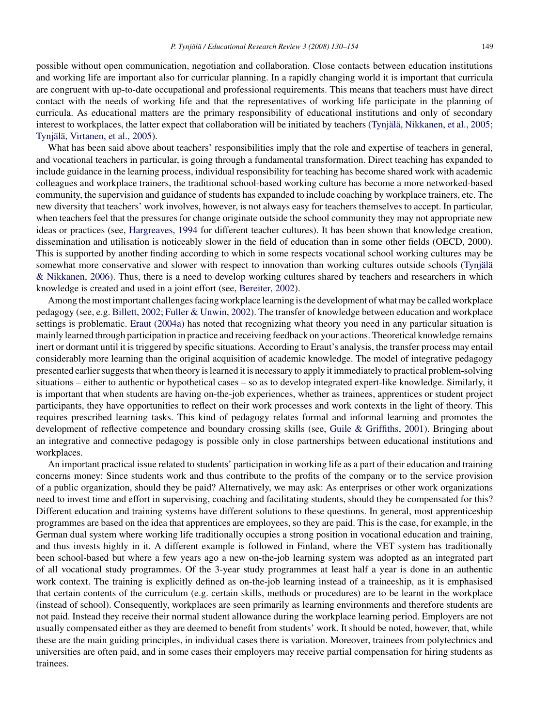possible without open communication, negotiation and collaboration. Close contacts between education institutions and working life are important also for curricular planning. In a rapidly changing world it is important that curricula are congruent with up-to-date occupational and professional requirements. This means that teachers must have direct contact with the needs of working life and that the representatives of working life participate in the planning of curricula. As educational matters are the primary responsibility of educational institutions and only of secondary interest to workplaces, the latter expect that collaboration will be initiated by teachers (Tynjälä, [Nikkanen, et al., 2005;](#page-23-0) Tynjälä, [Virtanen, et al., 2005](#page-23-0)).

What has been said above about teachers' responsibilities imply that the role and expertise of teachers in general, and vocational teachers in particular, is going through a fundamental transformation. Direct teaching has expanded to include guidance in the learning process, individual responsibility for teaching has become shared work with academic colleagues and workplace trainers, the traditional school-based working culture has become a more networked-based community, the supervision and guidance of students has expanded to include coaching by workplace trainers, etc. The new diversity that teachers' work involves, however, is not always easy for teachers themselves to accept. In particular, when teachers feel that the pressures for change originate outside the school community they may not appropriate new ideas or practices (see, [Hargreaves, 1994](#page-22-0) for different teacher cultures). It has been shown that knowledge creation, dissemination and utilisation is noticeably slower in the field of education than in some other fields (OECD, 2000). This is supported by another finding according to which in some respects vocational school working cultures may be somewhat more conservative and slower with respect to innovation than working cultures outside schools (Tynjälä [& Nikkanen, 2006\).](#page-23-0) Thus, there is a need to develop working cultures shared by teachers and researchers in which knowledge is created and used in a joint effort (see, [Bereiter, 2002\).](#page-20-0)

Among the most important challenges facing workplace learning is the development of what may be called workplace pedagogy (see, e.g. [Billett, 2002;](#page-20-0) [Fuller & Unwin, 2002\).](#page-21-0) The transfer of knowledge between education and workplace settings is problematic. [Eraut \(2004a\)](#page-21-0) has noted that recognizing what theory you need in any particular situation is mainly learned through participation in practice and receiving feedback on your actions. Theoretical knowledge remains inert or dormant until it is triggered by specific situations. According to Eraut's analysis, the transfer process may entail considerably more learning than the original acquisition of academic knowledge. The model of integrative pedagogy presented earlier suggests that when theory is learned it is necessary to apply it immediately to practical problem-solving situations – either to authentic or hypothetical cases – so as to develop integrated expert-like knowledge. Similarly, it is important that when students are having on-the-job experiences, whether as trainees, apprentices or student project participants, they have opportunities to reflect on their work processes and work contexts in the light of theory. This requires prescribed learning tasks. This kind of pedagogy relates formal and informal learning and promotes the development of reflective competence and boundary crossing skills (see, [Guile & Griffiths, 2001\).](#page-21-0) Bringing about an integrative and connective pedagogy is possible only in close partnerships between educational institutions and workplaces.

An important practical issue related to students' participation in working life as a part of their education and training concerns money: Since students work and thus contribute to the profits of the company or to the service provision of a public organization, should they be paid? Alternatively, we may ask: As enterprises or other work organizations need to invest time and effort in supervising, coaching and facilitating students, should they be compensated for this? Different education and training systems have different solutions to these questions. In general, most apprenticeship programmes are based on the idea that apprentices are employees, so they are paid. This is the case, for example, in the German dual system where working life traditionally occupies a strong position in vocational education and training, and thus invests highly in it. A different example is followed in Finland, where the VET system has traditionally been school-based but where a few years ago a new on-the-job learning system was adopted as an integrated part of all vocational study programmes. Of the 3-year study programmes at least half a year is done in an authentic work context. The training is explicitly defined as on-the-job learning instead of a traineeship, as it is emphasised that certain contents of the curriculum (e.g. certain skills, methods or procedures) are to be learnt in the workplace (instead of school). Consequently, workplaces are seen primarily as learning environments and therefore students are not paid. Instead they receive their normal student allowance during the workplace learning period. Employers are not usually compensated either as they are deemed to benefit from students' work. It should be noted, however, that, while these are the main guiding principles, in individual cases there is variation. Moreover, trainees from polytechnics and universities are often paid, and in some cases their employers may receive partial compensation for hiring students as trainees.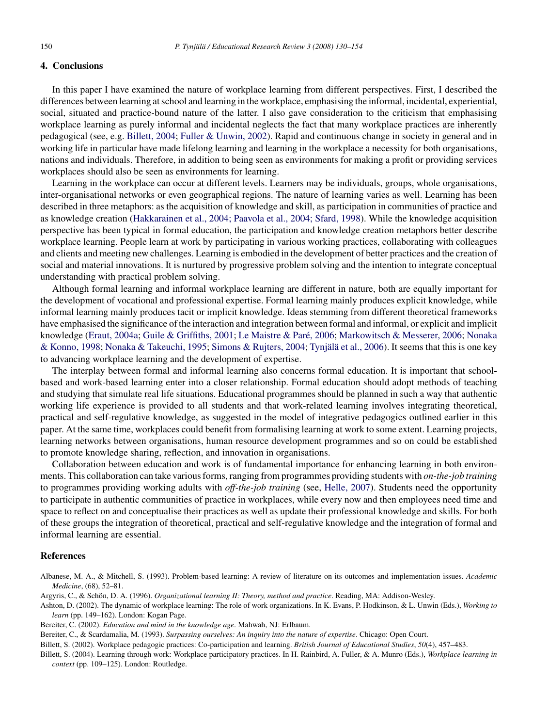# <span id="page-20-0"></span>**4. Conclusions**

In this paper I have examined the nature of workplace learning from different perspectives. First, I described the differences between learning at school and learning in the workplace, emphasising the informal, incidental, experiential, social, situated and practice-bound nature of the latter. I also gave consideration to the criticism that emphasising workplace learning as purely informal and incidental neglects the fact that many workplace practices are inherently pedagogical (see, e.g. Billett, 2004; [Fuller & Unwin, 2002\).](#page-21-0) Rapid and continuous change in society in general and in working life in particular have made lifelong learning and learning in the workplace a necessity for both organisations, nations and individuals. Therefore, in addition to being seen as environments for making a profit or providing services workplaces should also be seen as environments for learning.

Learning in the workplace can occur at different levels. Learners may be individuals, groups, whole organisations, inter-organisational networks or even geographical regions. The nature of learning varies as well. Learning has been described in three metaphors: as the acquisition of knowledge and skill, as participation in communities of practice and as knowledge creation ([Hakkarainen et al., 2004; Paavola et al., 2004; Sfard, 1998\).](#page-22-0) While the knowledge acquisition perspective has been typical in formal education, the participation and knowledge creation metaphors better describe workplace learning. People learn at work by participating in various working practices, collaborating with colleagues and clients and meeting new challenges. Learning is embodied in the development of better practices and the creation of social and material innovations. It is nurtured by progressive problem solving and the intention to integrate conceptual understanding with practical problem solving.

Although formal learning and informal workplace learning are different in nature, both are equally important for the development of vocational and professional expertise. Formal learning mainly produces explicit knowledge, while informal learning mainly produces tacit or implicit knowledge. Ideas stemming from different theoretical frameworks have emphasised the significance of the interaction and integration between formal and informal, or explicit and implicit knowledge [\(Eraut, 2004a;](#page-21-0) [Guile & Griffiths, 2001;](#page-21-0) Le Maistre & Paré, 2006; [Markowitsch & Messerer, 2006;](#page-22-0) [Nonaka](#page-22-0) [& Konno, 1998;](#page-22-0) [Nonaka & Takeuchi, 1995;](#page-22-0) [Simons & Rujters, 2004;](#page-23-0) Tynjälä [et al., 2006](#page-23-0)). It seems that this is one key to advancing workplace learning and the development of expertise.

The interplay between formal and informal learning also concerns formal education. It is important that schoolbased and work-based learning enter into a closer relationship. Formal education should adopt methods of teaching and studying that simulate real life situations. Educational programmes should be planned in such a way that authentic working life experience is provided to all students and that work-related learning involves integrating theoretical, practical and self-regulative knowledge, as suggested in the model of integrative pedagogics outlined earlier in this paper. At the same time, workplaces could benefit from formalising learning at work to some extent. Learning projects, learning networks between organisations, human resource development programmes and so on could be established to promote knowledge sharing, reflection, and innovation in organisations.

Collaboration between education and work is of fundamental importance for enhancing learning in both environments. This collaboration can take various forms, ranging from programmes providing students with *on-the-job training* to programmes providing working adults with *off-the-job training* (see, [Helle, 2007\).](#page-22-0) Students need the opportunity to participate in authentic communities of practice in workplaces, while every now and then employees need time and space to reflect on and conceptualise their practices as well as update their professional knowledge and skills. For both of these groups the integration of theoretical, practical and self-regulative knowledge and the integration of formal and informal learning are essential.

#### **References**

Albanese, M. A., & Mitchell, S. (1993). Problem-based learning: A review of literature on its outcomes and implementation issues. *Academic Medicine*, (68), 52–81.

Argyris, C., & Schön, D. A. (1996). *Organizational learning II: Theory, method and practice*. Reading, MA: Addison-Wesley.

- Ashton, D. (2002). The dynamic of workplace learning: The role of work organizations. In K. Evans, P. Hodkinson, & L. Unwin (Eds.), *Working to learn* (pp. 149–162). London: Kogan Page.
- Bereiter, C. (2002). *Education and mind in the knowledge age*. Mahwah, NJ: Erlbaum.

Bereiter, C., & Scardamalia, M. (1993). *Surpassing ourselves: An inquiry into the nature of expertise*. Chicago: Open Court.

Billett, S. (2002). Workplace pedagogic practices: Co-participation and learning. *British Journal of Educational Studies*, *50*(4), 457–483.

Billett, S. (2004). Learning through work: Workplace participatory practices. In H. Rainbird, A. Fuller, & A. Munro (Eds.), *Workplace learning in context* (pp. 109–125). London: Routledge.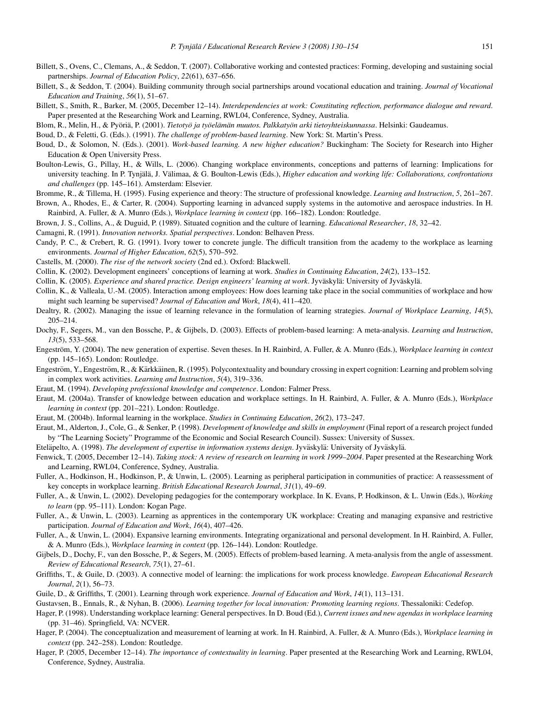- <span id="page-21-0"></span>Billett, S., Ovens, C., Clemans, A., & Seddon, T. (2007). Collaborative working and contested practices: Forming, developing and sustaining social partnerships. *Journal of Education Policy*, *22*(61), 637–656.
- Billett, S., & Seddon, T. (2004). Building community through social partnerships around vocational education and training. *Journal of Vocational Education and Training*, *56*(1), 51–67.
- Billett, S., Smith, R., Barker, M. (2005, December 12–14). *Interdependencies at work: Constituting reflection, performance dialogue and reward*. Paper presented at the Researching Work and Learning, RWL04, Conference, Sydney, Australia.
- Blom, R., Melin, H., & Pyöriä, P. (2001). *Tietotyö ja työelämän muutos. Palkkatyön arki tietoyhteiskunnassa*. Helsinki: Gaudeamus.

Boud, D., & Feletti, G. (Eds.). (1991). *The challenge of problem-based learning*. New York: St. Martin's Press.

- Boud, D., & Solomon, N. (Eds.). (2001). *Work-based learning. A new higher education?* Buckingham: The Society for Research into Higher Education & Open University Press.
- Boulton-Lewis, G., Pillay, H., & Wills, L. (2006). Changing workplace environments, conceptions and patterns of learning: Implications for university teaching. In P. Tynjälä, J. Välimaa, & G. Boulton-Lewis (Eds.), *Higher education and working life: Collaborations, confrontations and challenges* (pp. 145–161). Amsterdam: Elsevier.

Bromme, R., & Tillema, H. (1995). Fusing experience and theory: The structure of professional knowledge. *Learning and Instruction*, *5*, 261–267.

- Brown, A., Rhodes, E., & Carter, R. (2004). Supporting learning in advanced supply systems in the automotive and aerospace industries. In H. Rainbird, A. Fuller, & A. Munro (Eds.), *Workplace learning in context* (pp. 166–182). London: Routledge.
- Brown, J. S., Collins, A., & Duguid, P. (1989). Situated cognition and the culture of learning. *Educational Researcher*, *18*, 32–42.
- Camagni, R. (1991). *Innovation networks. Spatial perspectives*. London: Belhaven Press.
- Candy, P. C., & Crebert, R. G. (1991). Ivory tower to concrete jungle. The difficult transition from the academy to the workplace as learning environments. *Journal of Higher Education*, *62*(5), 570–592.
- Castells, M. (2000). *The rise of the network society* (2nd ed.). Oxford: Blackwell.
- Collin, K. (2002). Development engineers' conceptions of learning at work. *Studies in Continuing Education*, *24*(2), 133–152.

Collin, K. (2005). *Experience and shared practice. Design engineers' learning at work*. Jyväskylä: University of Jyväskylä.

- Collin, K., & Valleala, U.-M. (2005). Interaction among employees: How does learning take place in the social communities of workplace and how might such learning be supervised? *Journal of Education and Work*, *18*(4), 411–420.
- Dealtry, R. (2002). Managing the issue of learning relevance in the formulation of learning strategies. *Journal of Workplace Learning*, *14*(5), 205–214.
- Dochy, F., Segers, M., van den Bossche, P., & Gijbels, D. (2003). Effects of problem-based learning: A meta-analysis. *Learning and Instruction*, *13*(5), 533–568.
- Engeström, Y. (2004). The new generation of expertise. Seven theses. In H. Rainbird, A. Fuller, & A. Munro (Eds.), Workplace learning in context (pp. 145–165). London: Routledge.
- Engeström, Y., Engeström, R., & Kärkkäinen, R. (1995). Polycontextuality and boundary crossing in expert cognition: Learning and problem solving in complex work activities. *Learning and Instruction*, *5*(4), 319–336.
- Eraut, M. (1994). *Developing professional knowledge and competence*. London: Falmer Press.
- Eraut, M. (2004a). Transfer of knowledge between education and workplace settings. In H. Rainbird, A. Fuller, & A. Munro (Eds.), *Workplace learning in context* (pp. 201–221). London: Routledge.
- Eraut, M. (2004b). Informal learning in the workplace. *Studies in Continuing Education*, *26*(2), 173–247.
- Eraut, M., Alderton, J., Cole, G., & Senker, P. (1998). *Development of knowledge and skills in employment* (Final report of a research project funded by "The Learning Society" Programme of the Economic and Social Research Council). Sussex: University of Sussex.
- Eteläpelto, A. (1998). *The development of expertise in information systems design*. Jyväskylä: University of Jyväskylä.
- Fenwick, T. (2005, December 12–14). *Taking stock: A review of research on learning in work 1999–2004*. Paper presented at the Researching Work and Learning, RWL04, Conference, Sydney, Australia.
- Fuller, A., Hodkinson, H., Hodkinson, P., & Unwin, L. (2005). Learning as peripheral participation in communities of practice: A reassessment of key concepts in workplace learning. *British Educational Research Journal*, *31*(1), 49–69.
- Fuller, A., & Unwin, L. (2002). Developing pedagogies for the contemporary workplace. In K. Evans, P. Hodkinson, & L. Unwin (Eds.), *Working to learn* (pp. 95–111). London: Kogan Page.
- Fuller, A., & Unwin, L. (2003). Learning as apprentices in the contemporary UK workplace: Creating and managing expansive and restrictive participation. *Journal of Education and Work*, *16*(4), 407–426.
- Fuller, A., & Unwin, L. (2004). Expansive learning environments. Integrating organizational and personal development. In H. Rainbird, A. Fuller, & A. Munro (Eds.), *Workplace learning in context* (pp. 126–144). London: Routledge.
- Gijbels, D., Dochy, F., van den Bossche, P., & Segers, M. (2005). Effects of problem-based learning. A meta-analysis from the angle of assessment. *Review of Educational Research*, *75*(1), 27–61.
- Griffiths, T., & Guile, D. (2003). A connective model of learning: the implications for work process knowledge. *European Educational Research Journal*, *2*(1), 56–73.
- Guile, D., & Griffiths, T. (2001). Learning through work experience. *Journal of Education and Work*, *14*(1), 113–131.

Gustavsen, B., Ennals, R., & Nyhan, B. (2006). *Learning together for local innovation: Promoting learning regions*. Thessaloniki: Cedefop.

- Hager, P. (1998). Understanding workplace learning: General perspectives. In D. Boud (Ed.), *Current issues and new agendas in workplace learning* (pp. 31–46). Springfield, VA: NCVER.
- Hager, P. (2004). The conceptualization and measurement of learning at work. In H. Rainbird, A. Fuller, & A. Munro (Eds.), *Workplace learning in context* (pp. 242–258). London: Routledge.
- Hager, P. (2005, December 12–14). *The importance of contextuality in learning*. Paper presented at the Researching Work and Learning, RWL04, Conference, Sydney, Australia.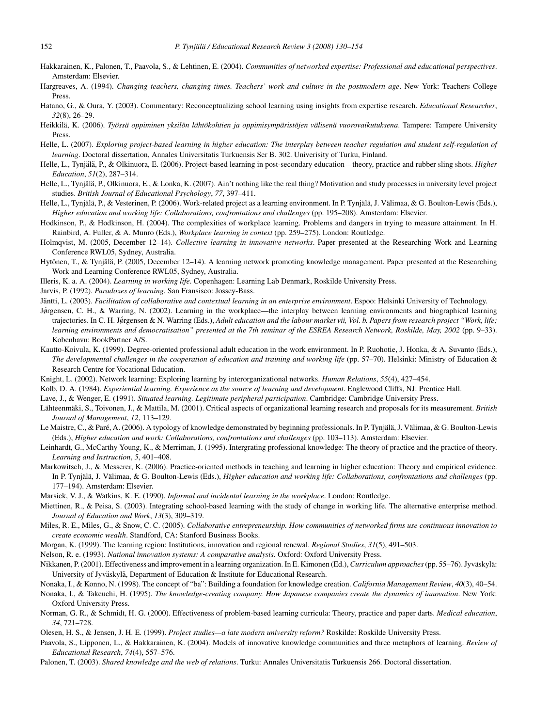- <span id="page-22-0"></span>Hakkarainen, K., Palonen, T., Paavola, S., & Lehtinen, E. (2004). *Communities of networked expertise: Professional and educational perspectives*. Amsterdam: Elsevier.
- Hargreaves, A. (1994). *Changing teachers, changing times. Teachers' work and culture in the postmodern age*. New York: Teachers College Press.
- Hatano, G., & Oura, Y. (2003). Commentary: Reconceptualizing school learning using insights from expertise research. *Educational Researcher*, *32*(8), 26–29.
- Heikkilä, K. (2006). *Työssä oppiminen yksilön lähtökohtien ja oppimisympäristöjen välisenä vuorovaikutuksena*. Tampere: Tampere University Press.
- Helle, L. (2007). *Exploring project-based learning in higher education: The interplay between teacher regulation and student self-regulation of learning*. Doctoral dissertation, Annales Universitatis Turkuensis Ser B. 302. Univerisity of Turku, Finland.
- Helle, L., Tynjälä, P., & Olkinuora, E. (2006). Project-based learning in post-secondary education—theory, practice and rubber sling shots. *Higher Education*, *51*(2), 287–314.
- Helle, L., Tynjälä, P., Olkinuora, E., & Lonka, K. (2007). Ain't nothing like the real thing? Motivation and study processes in university level project studies. *British Journal of Educational Psychology*, *77*, 397–411.
- Helle, L., Tynjälä, P., & Vesterinen, P. (2006). Work-related project as a learning environment. In P. Tynjälä, J. Välimaa, & G. Boulton-Lewis (Eds.), *Higher education and working life: Collaborations, confrontations and challenges* (pp. 195–208). Amsterdam: Elsevier.
- Hodkinson, P., & Hodkinson, H. (2004). The complexities of workplace learning. Problems and dangers in trying to measure attainment. In H. Rainbird, A. Fuller, & A. Munro (Eds.), *Workplace learning in context* (pp. 259–275). London: Routledge.
- Holmqvist, M. (2005, December 12–14). *Collective learning in innovative networks*. Paper presented at the Researching Work and Learning Conference RWL05, Sydney, Australia.
- Hytönen, T., & Tynjälä, P. (2005, December 12–14). A learning network promoting knowledge management. Paper presented at the Researching Work and Learning Conference RWL05, Sydney, Australia.
- Illeris, K. a. A. (2004). *Learning in working life*. Copenhagen: Learning Lab Denmark, Roskilde University Press.
- Jarvis, P. (1992). *Paradoxes of learning*. San Fransisco: Jossey-Bass.
- Jäntti, L. (2003). Facilitation of collaborative and contextual learning in an enterprise environment. Espoo: Helsinki University of Technology.
- Jørgensen, C. H., & Warring, N. (2002). Learning in the workplace—the interplay between learning environments and biographical learning ´ trajectories. In C. H. Jørgensen & N. Warring (Eds.), Adult education and the labour market vii, Vol. b. Papers from research project "Work, life; *learning environments and democratisation" presented at the 7th seminar of the ESREA Research Network, Roskilde, May, 2002* (pp. 9–33). Kobenhavn: BookPartner A/S.
- Kautto-Koivula, K. (1999). Degree-oriented professional adult education in the work environment. In P. Ruohotie, J. Honka, & A. Suvanto (Eds.), *The developmental challenges in the cooperation of education and training and working life* (pp. 57–70). Helsinki: Ministry of Education & Research Centre for Vocational Education.
- Knight, L. (2002). Network learning: Exploring learning by interorganizational networks. *Human Relations*, *55*(4), 427–454.
- Kolb, D. A. (1984). *Experiential learning. Experience as the source of learning and development*. Englewood Cliffs, NJ: Prentice Hall.
- Lave, J., & Wenger, E. (1991). *Situated learning. Legitimate peripheral participation*. Cambridge: Cambridge University Press.
- Lähteenmäki, S., Toivonen, J., & Mattila, M. (2001). Critical aspects of organizational learning research and proposals for its measurement. British *Journal of Management*, *12*, 113–129.
- Le Maistre, C., & Paré, A. (2006). A typology of knowledge demonstrated by beginning professionals. In P. Tynjälä, J. Välimaa, & G. Boulton-Lewis (Eds.), *Higher education and work: Collaborations, confrontations and challenges* (pp. 103–113). Amsterdam: Elsevier.
- Leinhardt, G., McCarthy Young, K., & Merriman, J. (1995). Intergrating professional knowledge: The theory of practice and the practice of theory. *Learning and Instruction*, *5*, 401–408.
- Markowitsch, J., & Messerer, K. (2006). Practice-oriented methods in teaching and learning in higher education: Theory and empirical evidence. In P. Tynjälä, J. Välimaa, & G. Boulton-Lewis (Eds.), *Higher education and working life: Collaborations, confrontations and challenges* (pp. 177–194). Amsterdam: Elsevier.
- Marsick, V. J., & Watkins, K. E. (1990). *Informal and incidental learning in the workplace*. London: Routledge.
- Miettinen, R., & Peisa, S. (2003). Integrating school-based learning with the study of change in working life. The alternative enterprise method. *Journal of Education and Work*, *13*(3), 309–319.
- Miles, R. E., Miles, G., & Snow, C. C. (2005). *Collaborative entrepreneurship. How communities of networked firms use continuous innovation to create economic wealth*. Standford, CA: Stanford Business Books.
- Morgan, K. (1999). The learning region: Institutions, innovation and regional renewal. *Regional Studies*, *31*(5), 491–503.
- Nelson, R. e. (1993). *National innovation systems: A comparative analysis*. Oxford: Oxford University Press.
- Nikkanen, P. (2001). Effectiveness and improvement in a learning organization. In E. Kimonen (Ed.), *Curriculum approaches* (pp. 55–76). Jyväskylä: University of Jyväskylä, Department of Education & Institute for Educational Research.
- Nonaka, I., & Konno, N. (1998). The concept of "ba": Building a foundation for knowledge creation. *California Management Review*, *40*(3), 40–54.
- Nonaka, I., & Takeuchi, H. (1995). *The knowledge-creating company. How Japanese companies create the dynamics of innovation*. New York: Oxford University Press.
- Norman, G. R., & Schmidt, H. G. (2000). Effectiveness of problem-based learning curricula: Theory, practice and paper darts. *Medical education*, *34*, 721–728.
- Olesen, H. S., & Jensen, J. H. E. (1999). *Project studies—a late modern university reform?* Roskilde: Roskilde University Press.
- Paavola, S., Lipponen, L., & Hakkarainen, K. (2004). Models of innovative knowledge communities and three metaphors of learning. *Review of Educational Research*, *74*(4), 557–576.
- Palonen, T. (2003). *Shared knowledge and the web of relations*. Turku: Annales Universitatis Turkuensis 266. Doctoral dissertation.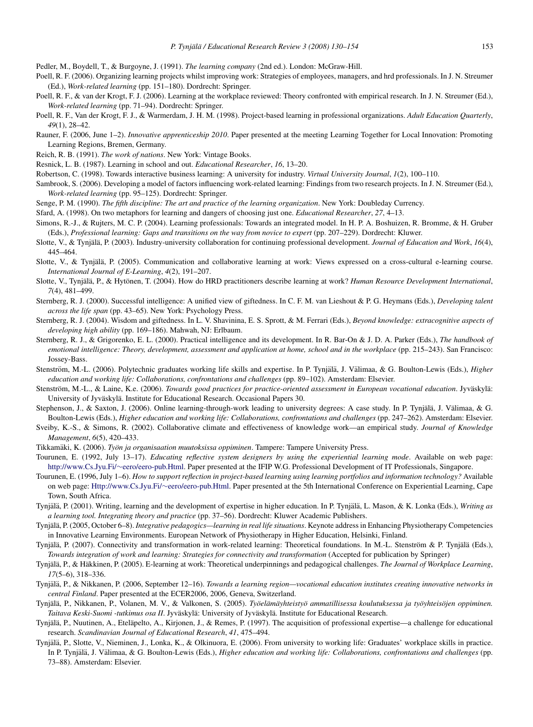<span id="page-23-0"></span>Pedler, M., Boydell, T., & Burgoyne, J. (1991). *The learning company* (2nd ed.). London: McGraw-Hill.

- Poell, R. F. (2006). Organizing learning projects whilst improving work: Strategies of employees, managers, and hrd professionals. In J. N. Streumer (Ed.), *Work-related learning* (pp. 151–180). Dordrecht: Springer.
- Poell, R. F., & van der Krogt, F. J. (2006). Learning at the workplace reviewed: Theory confronted with empirical research. In J. N. Streumer (Ed.), *Work-related learning* (pp. 71–94). Dordrecht: Springer.
- Poell, R. F., Van der Krogt, F. J., & Warmerdam, J. H. M. (1998). Project-based learning in professional organizations. *Adult Education Quarterly*, *49*(1), 28–42.
- Rauner, F. (2006, June 1–2). *Innovative apprenticeship 2010*. Paper presented at the meeting Learning Together for Local Innovation: Promoting Learning Regions, Bremen, Germany.

Reich, R. B. (1991). *The work of nations*. New York: Vintage Books.

Resnick, L. B. (1987). Learning in school and out. *Educational Researcher*, *16*, 13–20.

Robertson, C. (1998). Towards interactive business learning: A university for industry. *Virtual University Journal*, *1*(2), 100–110.

- Sambrook, S. (2006). Developing a model of factors influencing work-related learning: Findings from two research projects. In J. N. Streumer (Ed.), *Work-related learning* (pp. 95–125). Dordrecht: Springer.
- Senge, P. M. (1990). *The fifth discipline: The art and practice of the learning organization*. New York: Doubleday Currency.

Sfard, A. (1998). On two metaphors for learning and dangers of choosing just one. *Educational Researcher*, *27*, 4–13.

- Simons, R.-J., & Rujters, M. C. P. (2004). Learning professionals: Towards an integrated model. In H. P. A. Boshuizen, R. Bromme, & H. Gruber (Eds.), *Professional learning: Gaps and transitions on the way from novice to expert* (pp. 207–229). Dordrecht: Kluwer.
- Slotte, V., & Tynjälä, P. (2003). Industry-university collaboration for continuing professional development. *Journal of Education and Work*, 16(4), 445–464.
- Slotte, V., & Tynjälä, P. (2005). Communication and collaborative learning at work: Views expressed on a cross-cultural e-learning course. *International Journal of E-Learning*, *4*(2), 191–207.
- Slotte, V., Tynjälä, P., & Hytönen, T. (2004). How do HRD practitioners describe learning at work? *Human Resource Development International*, *7*(4), 481–499.
- Sternberg, R. J. (2000). Successful intelligence: A unified view of giftedness. In C. F. M. van Lieshout & P. G. Heymans (Eds.), *Developing talent across the life span* (pp. 43–65). New York: Psychology Press.
- Sternberg, R. J. (2004). Wisdom and giftedness. In L. V. Shavinina, E. S. Sprott, & M. Ferrari (Eds.), *Beyond knowledge: extracognitive aspects of developing high ability* (pp. 169–186). Mahwah, NJ: Erlbaum.
- Sternberg, R. J., & Grigorenko, E. L. (2000). Practical intelligence and its development. In R. Bar-On & J. D. A. Parker (Eds.), *The handbook of emotional intelligence: Theory, development, assessment and application at home, school and in the workplace* (pp. 215–243). San Francisco: Jossey-Bass.
- Stenström, M.-L. (2006). Polytechnic graduates working life skills and expertise. In P. Tynjälä, J. Välimaa, & G. Boulton-Lewis (Eds.), *Higher education and working life: Collaborations, confrontations and challenges* (pp. 89–102). Amsterdam: Elsevier.
- Stenström, M.-L., & Laine, K.e. (2006). *Towards good practices for practice-oriented assessment in European vocational education*. Jyväskylä: University of Jyväskylä. Institute for Educational Research. Occasional Papers 30.
- Stephenson, J., & Saxton, J. (2006). Online learning-through-work leading to university degrees: A case study. In P. Tynjälä, J. Välimaa, & G. Boulton-Lewis (Eds.), *Higher education and working life: Collaborations, confrontations and challenges* (pp. 247-262). Amsterdam: Elsevier.
- Sveiby, K.-S., & Simons, R. (2002). Collaborative climate and effectiveness of knowledge work—an empirical study. *Journal of Knowledge Management*, *6*(5), 420–433.
- Tikkamäki, K. (2006). Työn ja organisaation muutoksissa oppiminen. Tampere: Tampere University Press.
- Tourunen, E. (1992, July 13–17). *Educating reflective system designers by using the experiential learning mode*. Available on web page: [http://www.Cs.Jyu.Fi/](http://www.cs.jyu.fi/~eero/eero-pub.Html)∼eero/eero-pub.Html. Paper presented at the IFIP W.G. Professional Development of IT Professionals, Singapore.
- Tourunen, E. (1996, July 1–6). *How to support reflection in project-based learning using learning portfolios and information technology?* Available on web page: [Http://www.Cs.Jyu.Fi/](http://www.cs.jyu.fi/~eero/eero-pub.Html)∼eero/eero-pub.Html. Paper presented at the 5th International Conference on Experiential Learning, Cape Town, South Africa.
- Tynjälä, P. (2001). Writing, learning and the development of expertise in higher education. In P. Tynjälä, L. Mason, & K. Lonka (Eds.), Writing as *a learning tool. Integrating theory and practice* (pp. 37–56). Dordrecht: Kluwer Academic Publishers.
- Tynjälä, P. (2005, October 6–8). *Integrative pedagogics—learning in real life situations*. Keynote address in Enhancing Physiotherapy Competencies in Innovative Learning Environments. European Network of Physiotherapy in Higher Education, Helsinki, Finland.
- Tynjälä, P. (2007). Connectivity and transformation in work-related learning: Theoretical foundations. In M.-L. Stenström & P. Tynjälä (Eds.), *Towards integration of work and learning: Strategies for connectivity and transformation* (Accepted for publication by Springer)
- Tynjälä, P., & Häkkinen, P. (2005). E-learning at work: Theoretical underpinnings and pedagogical challenges. *The Journal of Workplace Learning*, *17*(5–6), 318–336.
- Tynjälä, P., & Nikkanen, P. (2006, September 12-16). *Towards a learning region—vocational education institutes creating innovative networks in central Finland*. Paper presented at the ECER2006, 2006, Geneva, Switzerland.
- Tynjälä, P., Nikkanen, P., Volanen, M. V., & Valkonen, S. (2005). Työelämäyhteistyö ammatillisessa koulutuksessa ja työyhteisöjen oppiminen. *Taitava Keski-Suomi -tutkimus osa II*. Jyväskylä: University of Jyväskylä. Institute for Educational Research.
- Tynjälä, P., Nuutinen, A., Eteläpelto, A., Kirjonen, J., & Remes, P. (1997). The acquisition of professional expertise—a challenge for educational research. *Scandinavian Journal of Educational Research*, *41*, 475–494.
- Tynjälä, P., Slotte, V., Nieminen, J., Lonka, K., & Olkinuora, E. (2006). From university to working life: Graduates' workplace skills in practice. In P. Tynjälä, J. Välimaa, & G. Boulton-Lewis (Eds.), *Higher education and working life: Collaborations, confrontations and challenges* (pp. 73–88). Amsterdam: Elsevier.